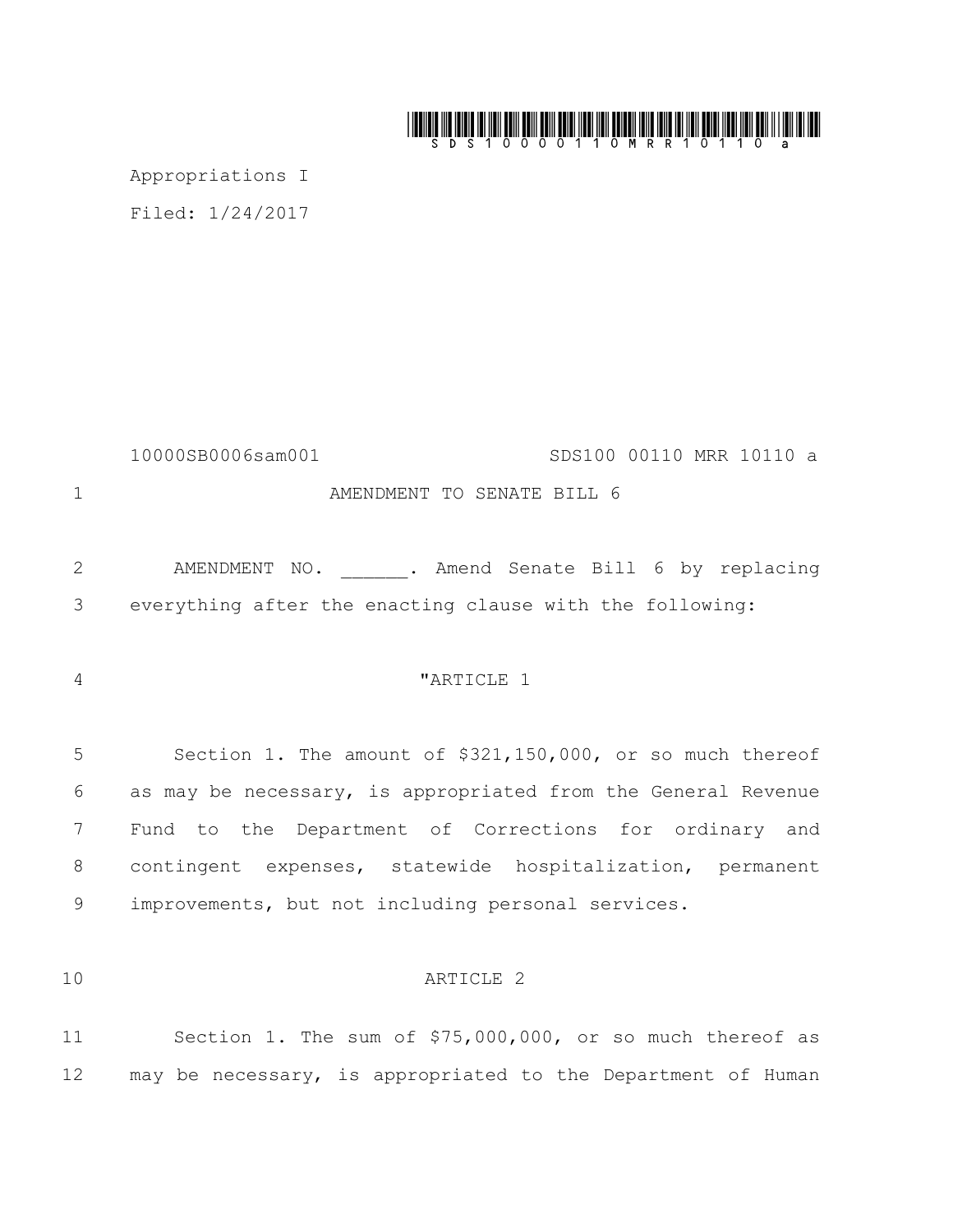# 

Appropriations I

Filed: 1/24/2017

10000SB0006sam001 SDS100 00110 MRR 10110 a AMENDMENT TO SENATE BILL 6

2 AMENDMENT NO. . Amend Senate Bill 6 by replacing everything after the enacting clause with the following:

# "ARTICLE 1

 Section 1. The amount of \$321,150,000, or so much thereof as may be necessary, is appropriated from the General Revenue Fund to the Department of Corrections for ordinary and contingent expenses, statewide hospitalization, permanent improvements, but not including personal services.

# ARTICLE 2

 Section 1. The sum of \$75,000,000, or so much thereof as 12 may be necessary, is appropriated to the Department of Human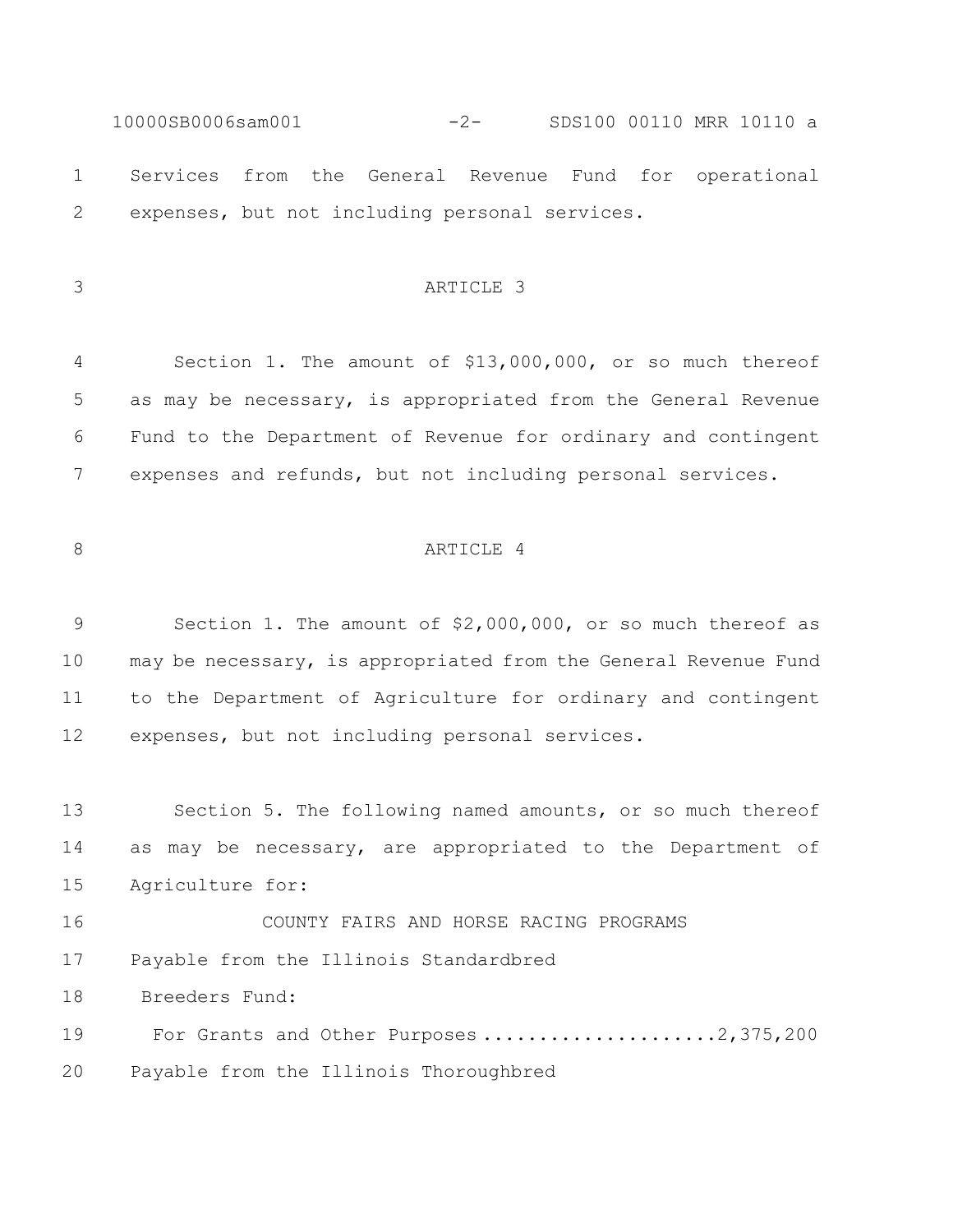10000SB0006sam001 -2- SDS100 00110 MRR 10110 a Services from the General Revenue Fund for operational expenses, but not including personal services.

# ARTICLE 3

 Section 1. The amount of \$13,000,000, or so much thereof as may be necessary, is appropriated from the General Revenue Fund to the Department of Revenue for ordinary and contingent expenses and refunds, but not including personal services.

# 8 ARTICLE 4

 Section 1. The amount of \$2,000,000, or so much thereof as may be necessary, is appropriated from the General Revenue Fund to the Department of Agriculture for ordinary and contingent expenses, but not including personal services.

 Section 5. The following named amounts, or so much thereof as may be necessary, are appropriated to the Department of Agriculture for:

COUNTY FAIRS AND HORSE RACING PROGRAMS

Payable from the Illinois Standardbred

Breeders Fund:

19 For Grants and Other Purposes .....................2,375,200

Payable from the Illinois Thoroughbred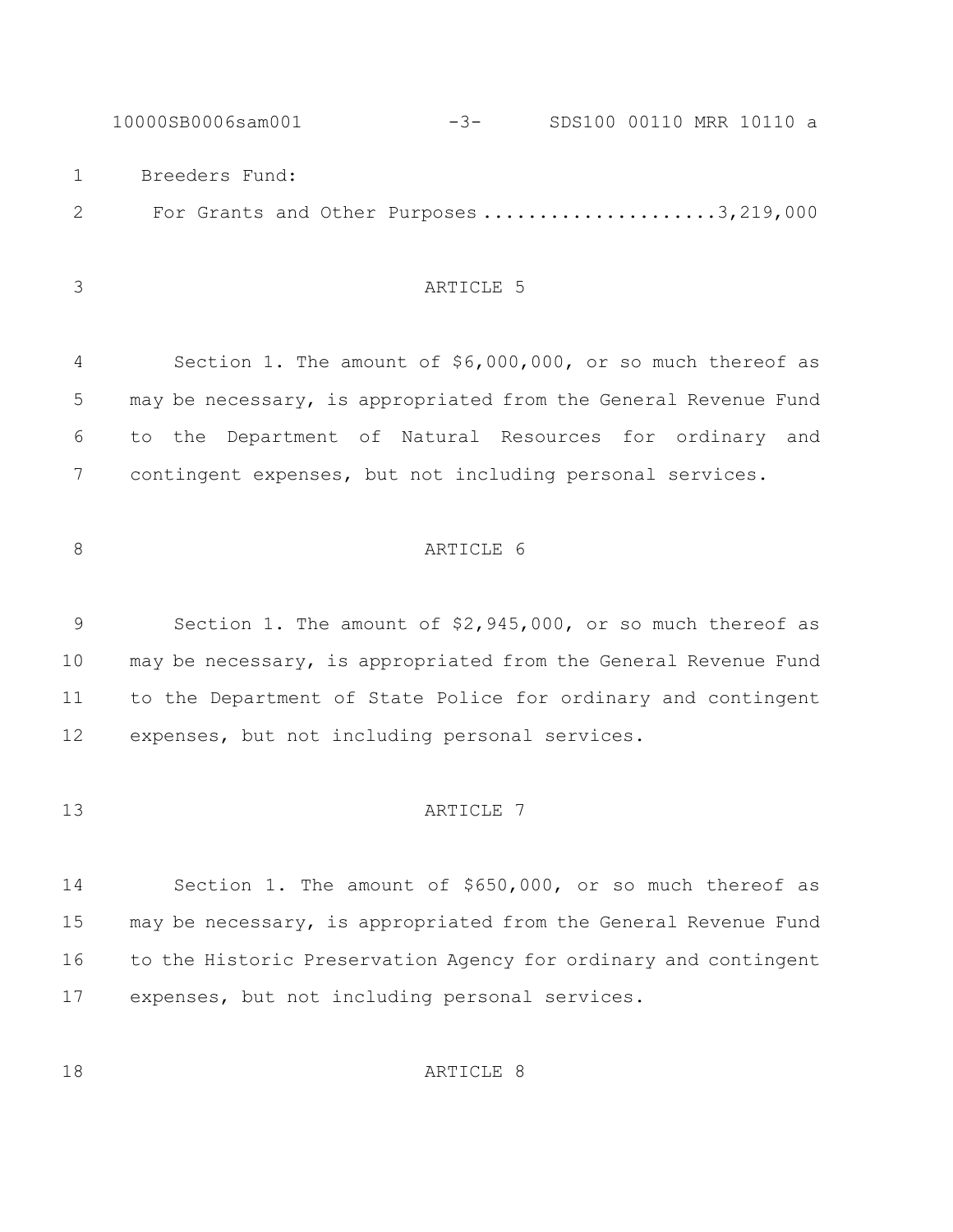10000SB0006sam001 -3- SDS100 00110 MRR 10110 a Breeders Fund: 2 For Grants and Other Purposes .....................3,219,000

ARTICLE 5

8 ARTICLE 6

 Section 1. The amount of \$6,000,000, or so much thereof as may be necessary, is appropriated from the General Revenue Fund to the Department of Natural Resources for ordinary and contingent expenses, but not including personal services.

 Section 1. The amount of \$2,945,000, or so much thereof as may be necessary, is appropriated from the General Revenue Fund to the Department of State Police for ordinary and contingent

expenses, but not including personal services.

#### 13 ARTICLE 7

 Section 1. The amount of \$650,000, or so much thereof as may be necessary, is appropriated from the General Revenue Fund to the Historic Preservation Agency for ordinary and contingent expenses, but not including personal services.

18 ARTICLE 8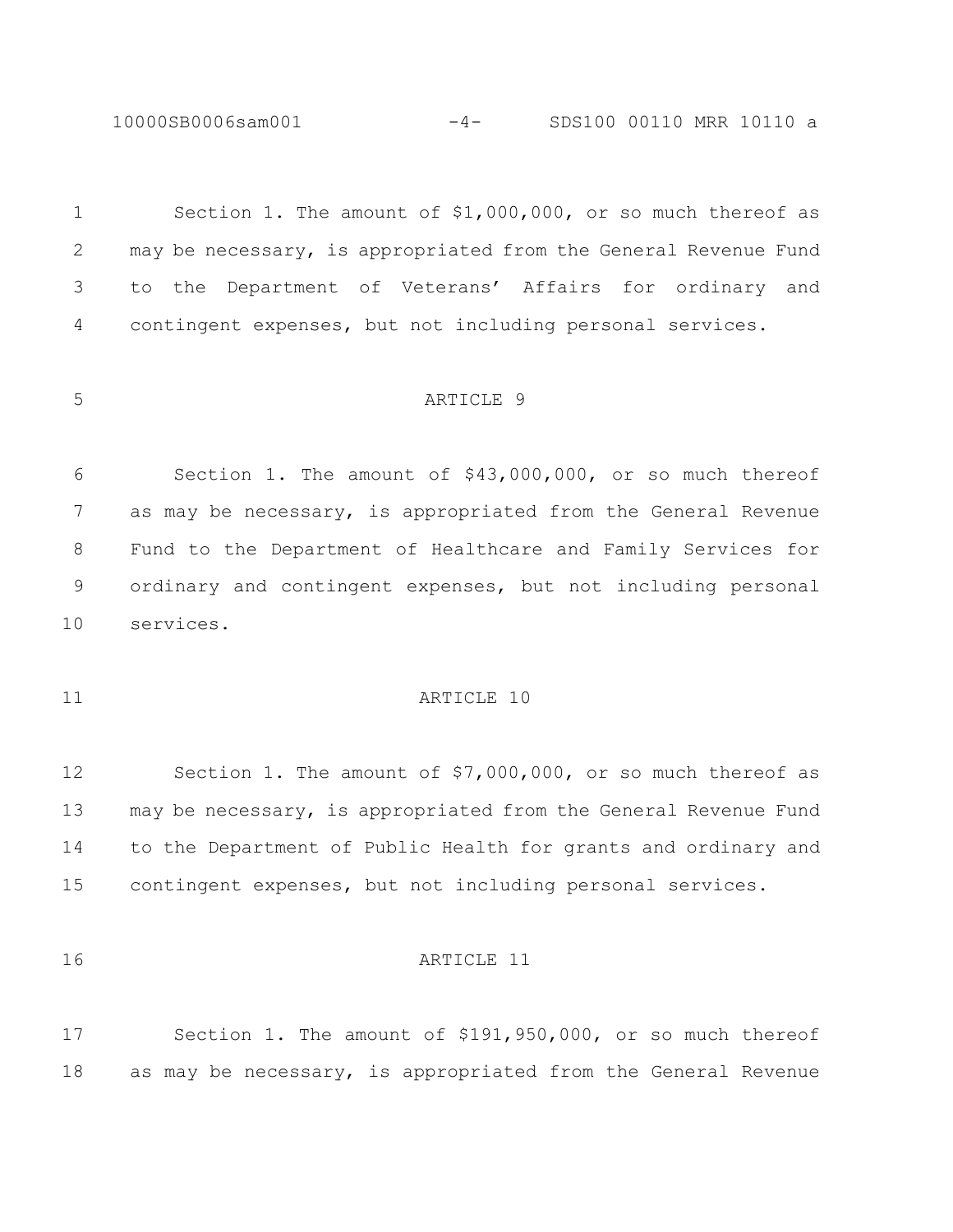10000SB0006sam001 -4- SDS100 00110 MRR 10110 a

 Section 1. The amount of \$1,000,000, or so much thereof as may be necessary, is appropriated from the General Revenue Fund to the Department of Veterans' Affairs for ordinary and contingent expenses, but not including personal services. ARTICLE 9 Section 1. The amount of \$43,000,000, or so much thereof as may be necessary, is appropriated from the General Revenue Fund to the Department of Healthcare and Family Services for

ordinary and contingent expenses, but not including personal

services.

# 11 ARTICLE 10

 Section 1. The amount of \$7,000,000, or so much thereof as may be necessary, is appropriated from the General Revenue Fund to the Department of Public Health for grants and ordinary and contingent expenses, but not including personal services.

#### ARTICLE 11

 Section 1. The amount of \$191,950,000, or so much thereof as may be necessary, is appropriated from the General Revenue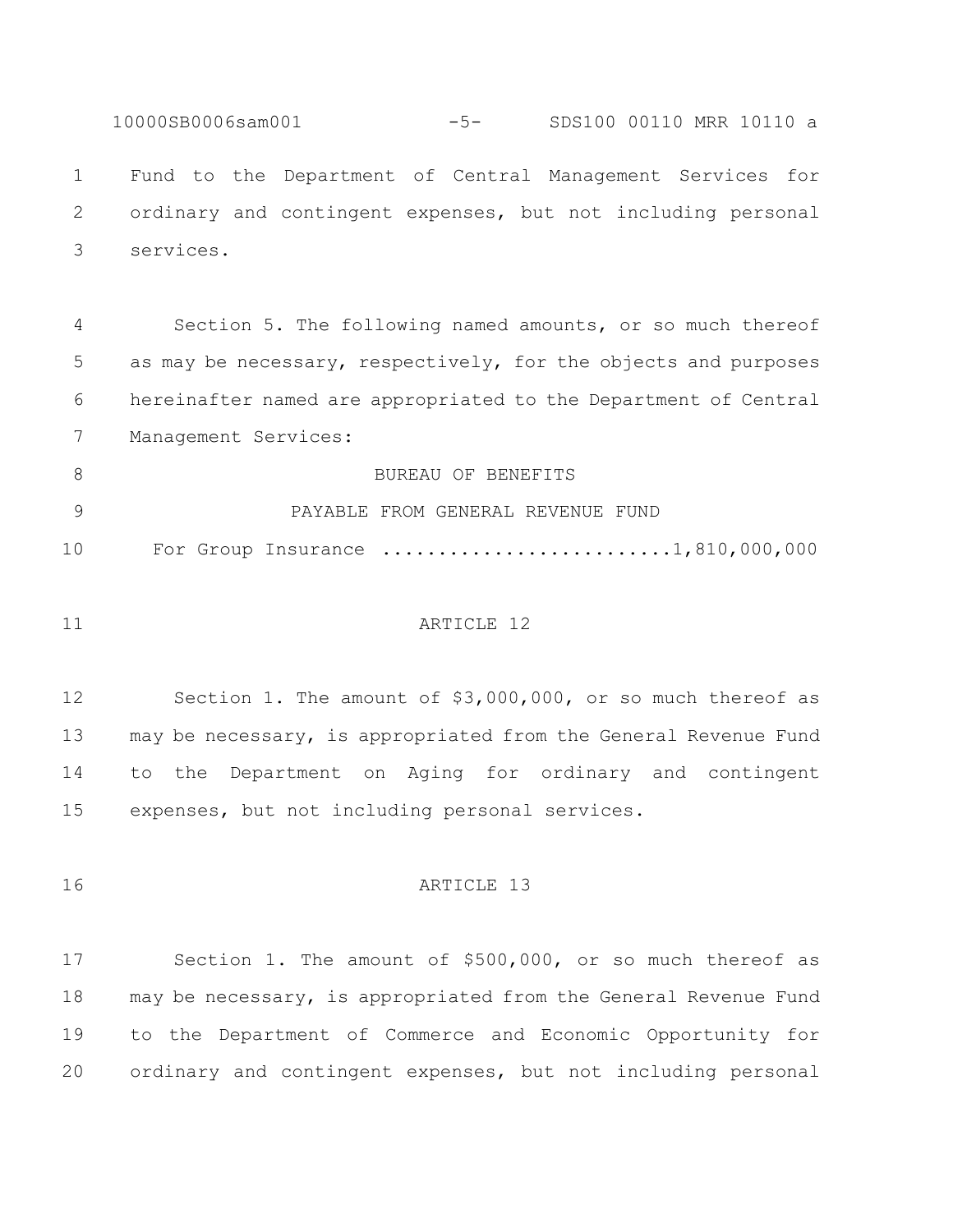10000SB0006sam001 -5- SDS100 00110 MRR 10110 a Fund to the Department of Central Management Services for ordinary and contingent expenses, but not including personal services.

 Section 5. The following named amounts, or so much thereof as may be necessary, respectively, for the objects and purposes hereinafter named are appropriated to the Department of Central Management Services:

8 BUREAU OF BENEFITS PAYABLE FROM GENERAL REVENUE FUND 10 For Group Insurance ..........................1,810,000,000

#### 11 ARTICLE 12

 Section 1. The amount of \$3,000,000, or so much thereof as may be necessary, is appropriated from the General Revenue Fund to the Department on Aging for ordinary and contingent expenses, but not including personal services.

16 ARTICLE 13

 Section 1. The amount of \$500,000, or so much thereof as may be necessary, is appropriated from the General Revenue Fund to the Department of Commerce and Economic Opportunity for ordinary and contingent expenses, but not including personal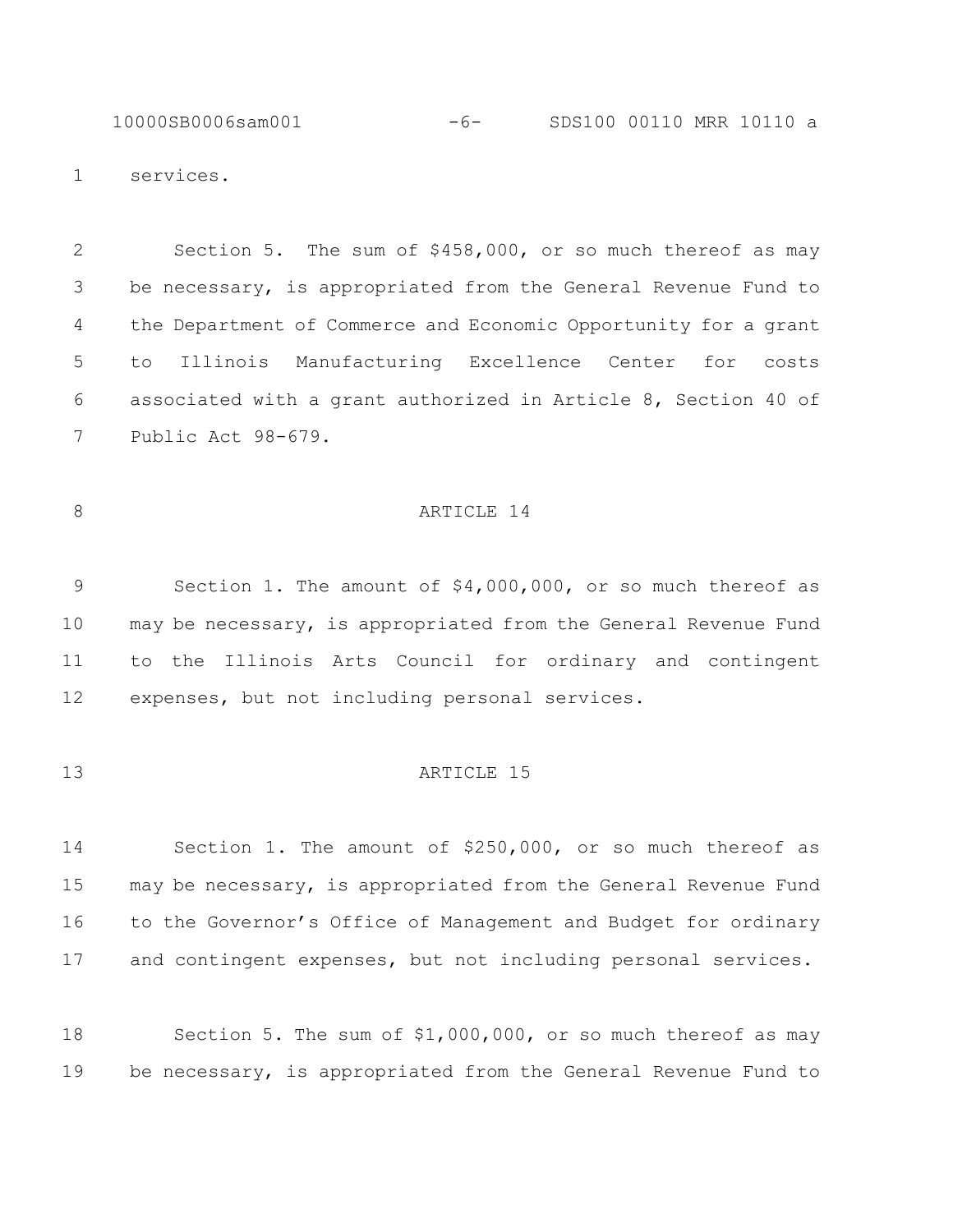10000SB0006sam001 -6- SDS100 00110 MRR 10110 a

services.

 Section 5. The sum of \$458,000, or so much thereof as may be necessary, is appropriated from the General Revenue Fund to the Department of Commerce and Economic Opportunity for a grant to Illinois Manufacturing Excellence Center for costs associated with a grant authorized in Article 8, Section 40 of Public Act 98-679.

#### 8 ARTICLE 14

 Section 1. The amount of \$4,000,000, or so much thereof as may be necessary, is appropriated from the General Revenue Fund to the Illinois Arts Council for ordinary and contingent expenses, but not including personal services.

#### **ARTICLE** 15

 Section 1. The amount of \$250,000, or so much thereof as may be necessary, is appropriated from the General Revenue Fund to the Governor's Office of Management and Budget for ordinary and contingent expenses, but not including personal services.

 Section 5. The sum of \$1,000,000, or so much thereof as may be necessary, is appropriated from the General Revenue Fund to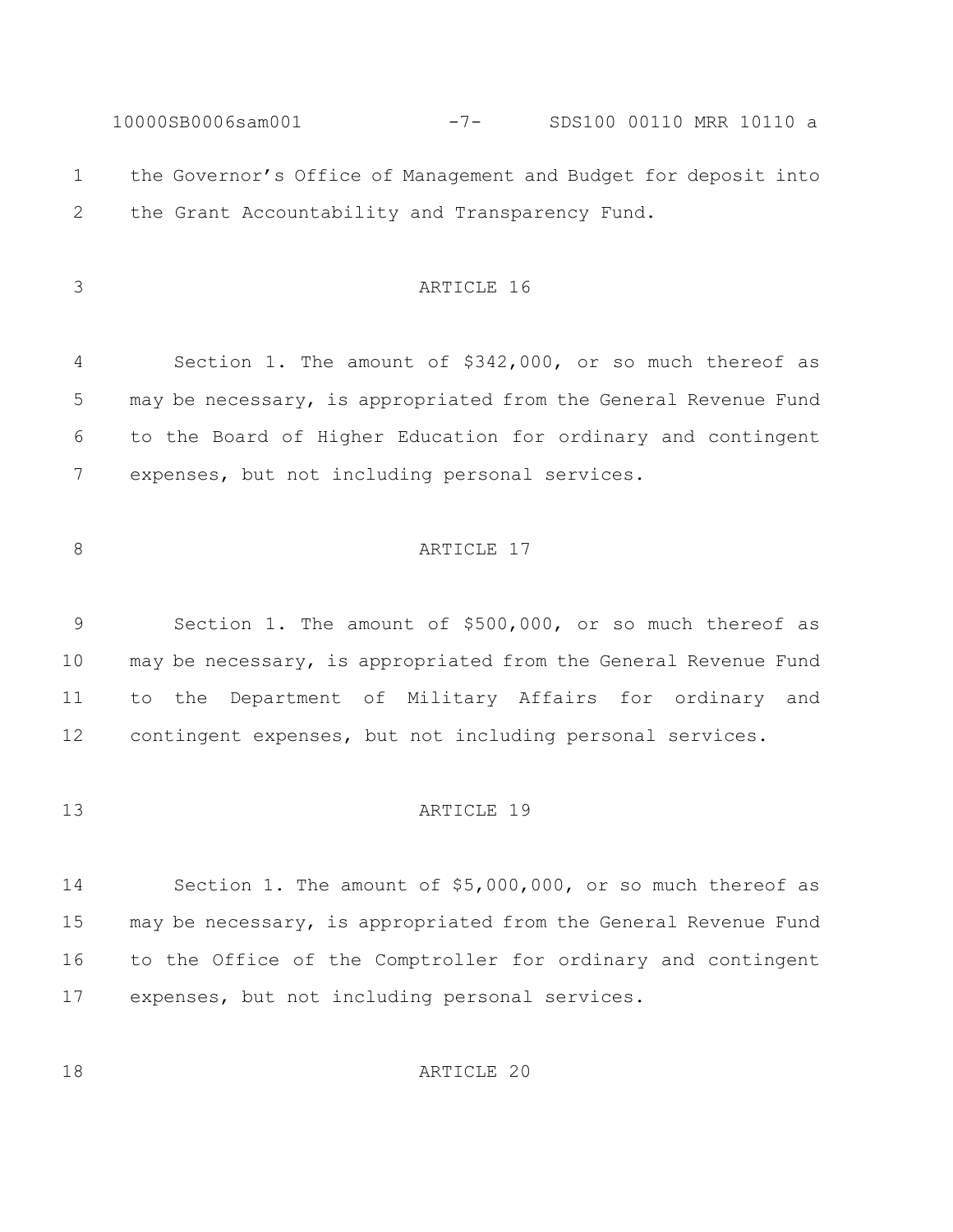10000SB0006sam001 -7- SDS100 00110 MRR 10110 a the Governor's Office of Management and Budget for deposit into the Grant Accountability and Transparency Fund. ARTICLE 16 Section 1. The amount of \$342,000, or so much thereof as may be necessary, is appropriated from the General Revenue Fund to the Board of Higher Education for ordinary and contingent expenses, but not including personal services.

# 8 ARTICLE 17

 Section 1. The amount of \$500,000, or so much thereof as may be necessary, is appropriated from the General Revenue Fund to the Department of Military Affairs for ordinary and contingent expenses, but not including personal services.

#### **ARTICLE** 19

 Section 1. The amount of \$5,000,000, or so much thereof as may be necessary, is appropriated from the General Revenue Fund to the Office of the Comptroller for ordinary and contingent expenses, but not including personal services.

**ARTICLE** 20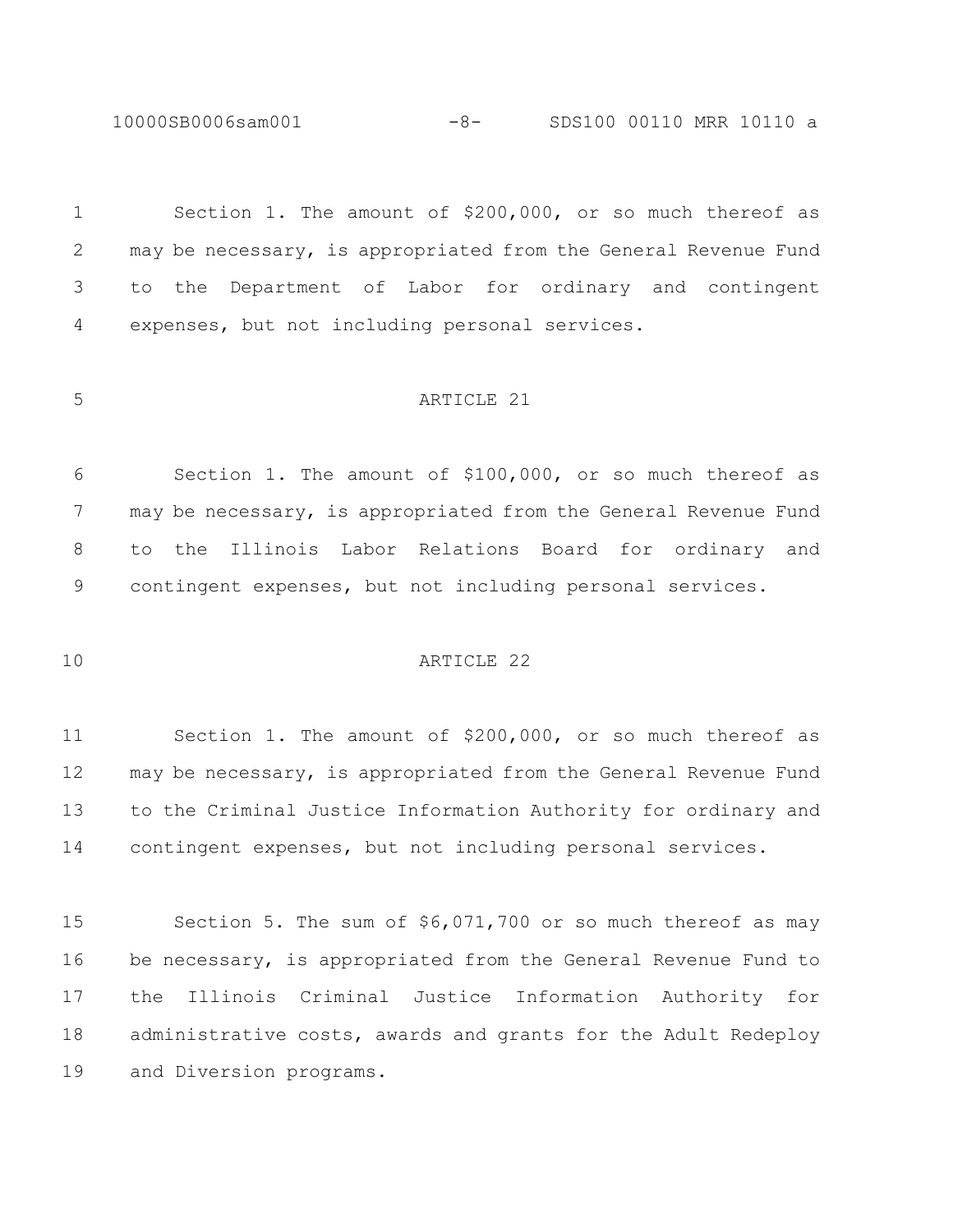10000SB0006sam001 -8- SDS100 00110 MRR 10110 a

 Section 1. The amount of \$200,000, or so much thereof as may be necessary, is appropriated from the General Revenue Fund to the Department of Labor for ordinary and contingent expenses, but not including personal services.

#### ARTICLE 21

 Section 1. The amount of \$100,000, or so much thereof as may be necessary, is appropriated from the General Revenue Fund to the Illinois Labor Relations Board for ordinary and contingent expenses, but not including personal services.

#### ARTICLE 22

 Section 1. The amount of \$200,000, or so much thereof as may be necessary, is appropriated from the General Revenue Fund to the Criminal Justice Information Authority for ordinary and contingent expenses, but not including personal services.

 Section 5. The sum of \$6,071,700 or so much thereof as may be necessary, is appropriated from the General Revenue Fund to the Illinois Criminal Justice Information Authority for administrative costs, awards and grants for the Adult Redeploy and Diversion programs.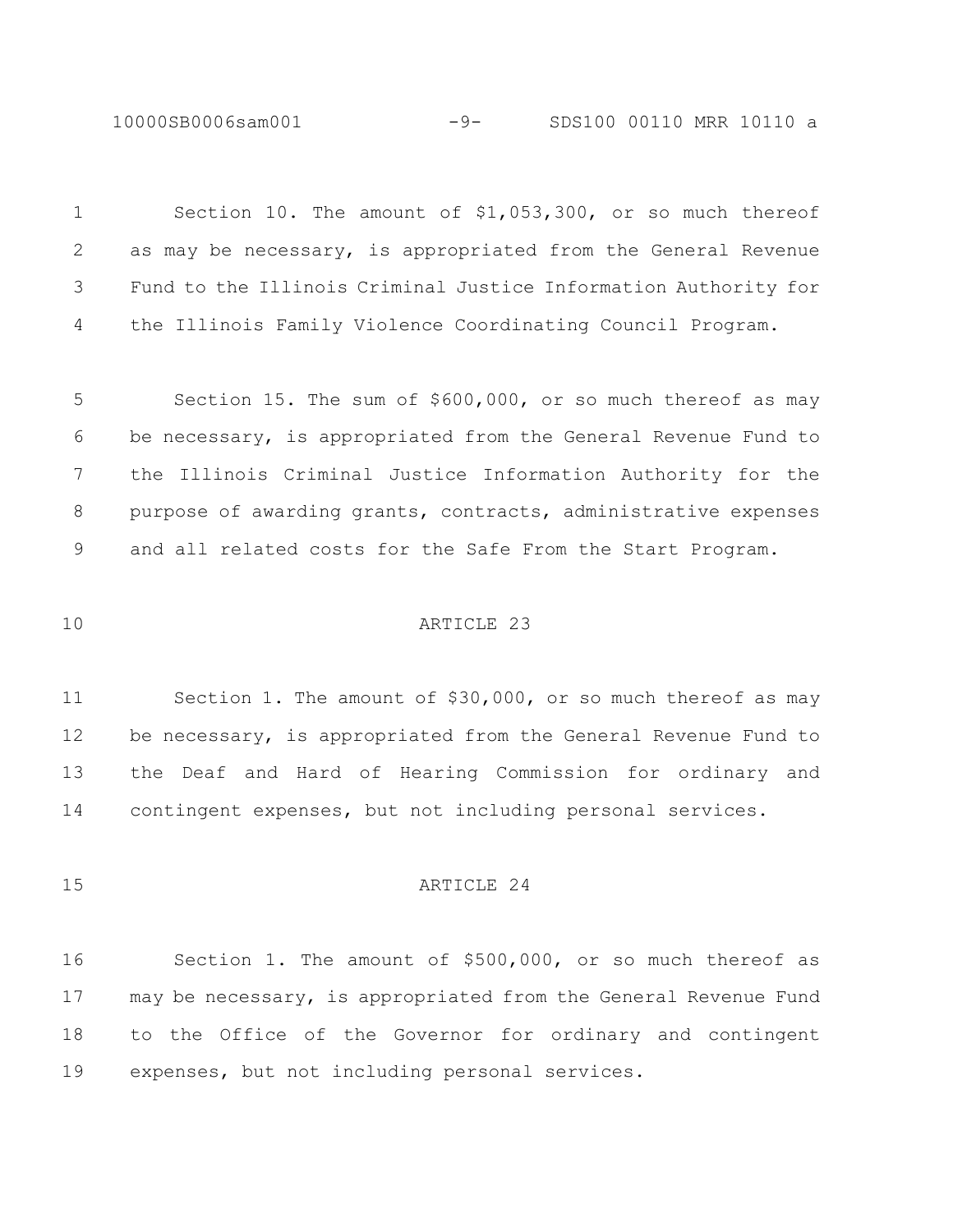10000SB0006sam001 -9- SDS100 00110 MRR 10110 a

| $\mathbf 1$ | Section 10. The amount of \$1,053,300, or so much thereof       |
|-------------|-----------------------------------------------------------------|
| 2           | as may be necessary, is appropriated from the General Revenue   |
| 3           | Fund to the Illinois Criminal Justice Information Authority for |
| 4           | the Illinois Family Violence Coordinating Council Program.      |
|             |                                                                 |
| 5           | Section 15. The sum of \$600,000, or so much thereof as may     |
| 6           | be necessary, is appropriated from the General Revenue Fund to  |
| 7           | the Illinois Criminal Justice Information Authority for the     |
| 8           | purpose of awarding grants, contracts, administrative expenses  |
| 9           | and all related costs for the Safe From the Start Program.      |
|             |                                                                 |
| 10          | ARTICLE 23                                                      |
|             |                                                                 |
| 11          | Section 1. The amount of \$30,000, or so much thereof as may    |
| 12          | be necessary, is appropriated from the General Revenue Fund to  |
| 13          | the Deaf and Hard of Hearing Commission for ordinary and        |
| 14          | contingent expenses, but not including personal services.       |
|             |                                                                 |
| 15          | ARTICLE 24                                                      |
|             |                                                                 |
| 16          | Section 1. The amount of \$500,000, or so much thereof as       |
|             |                                                                 |
| 17          | may be necessary, is appropriated from the General Revenue Fund |

expenses, but not including personal services.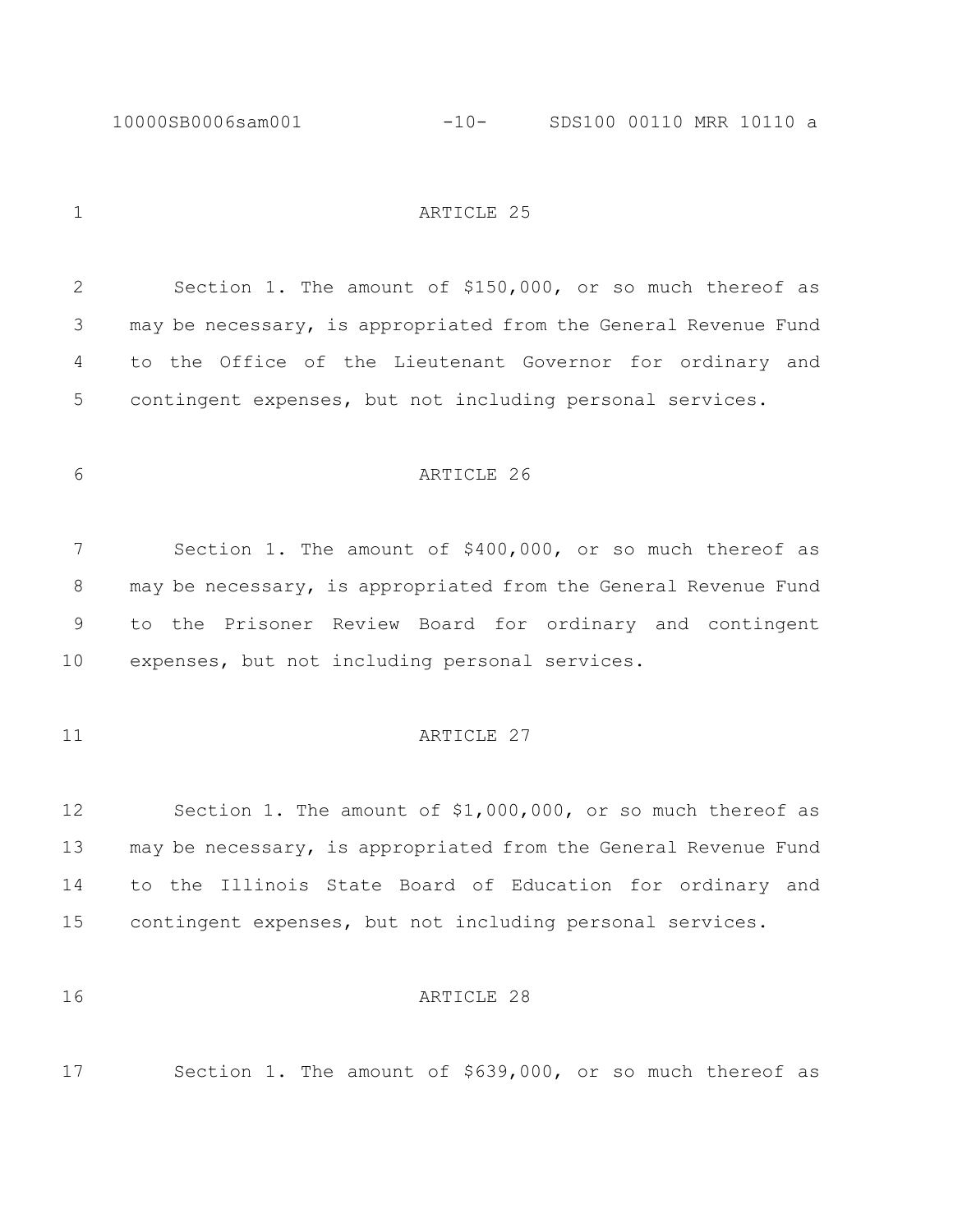10000SB0006sam001 -10- SDS100 00110 MRR 10110 a

1 ARTICLE 25

 Section 1. The amount of \$150,000, or so much thereof as may be necessary, is appropriated from the General Revenue Fund to the Office of the Lieutenant Governor for ordinary and contingent expenses, but not including personal services.

# ARTICLE 26

 Section 1. The amount of \$400,000, or so much thereof as 8 may be necessary, is appropriated from the General Revenue Fund to the Prisoner Review Board for ordinary and contingent expenses, but not including personal services.

### 11 ARTICLE 27

 Section 1. The amount of \$1,000,000, or so much thereof as may be necessary, is appropriated from the General Revenue Fund to the Illinois State Board of Education for ordinary and contingent expenses, but not including personal services.

#### **ARTICLE** 28

Section 1. The amount of \$639,000, or so much thereof as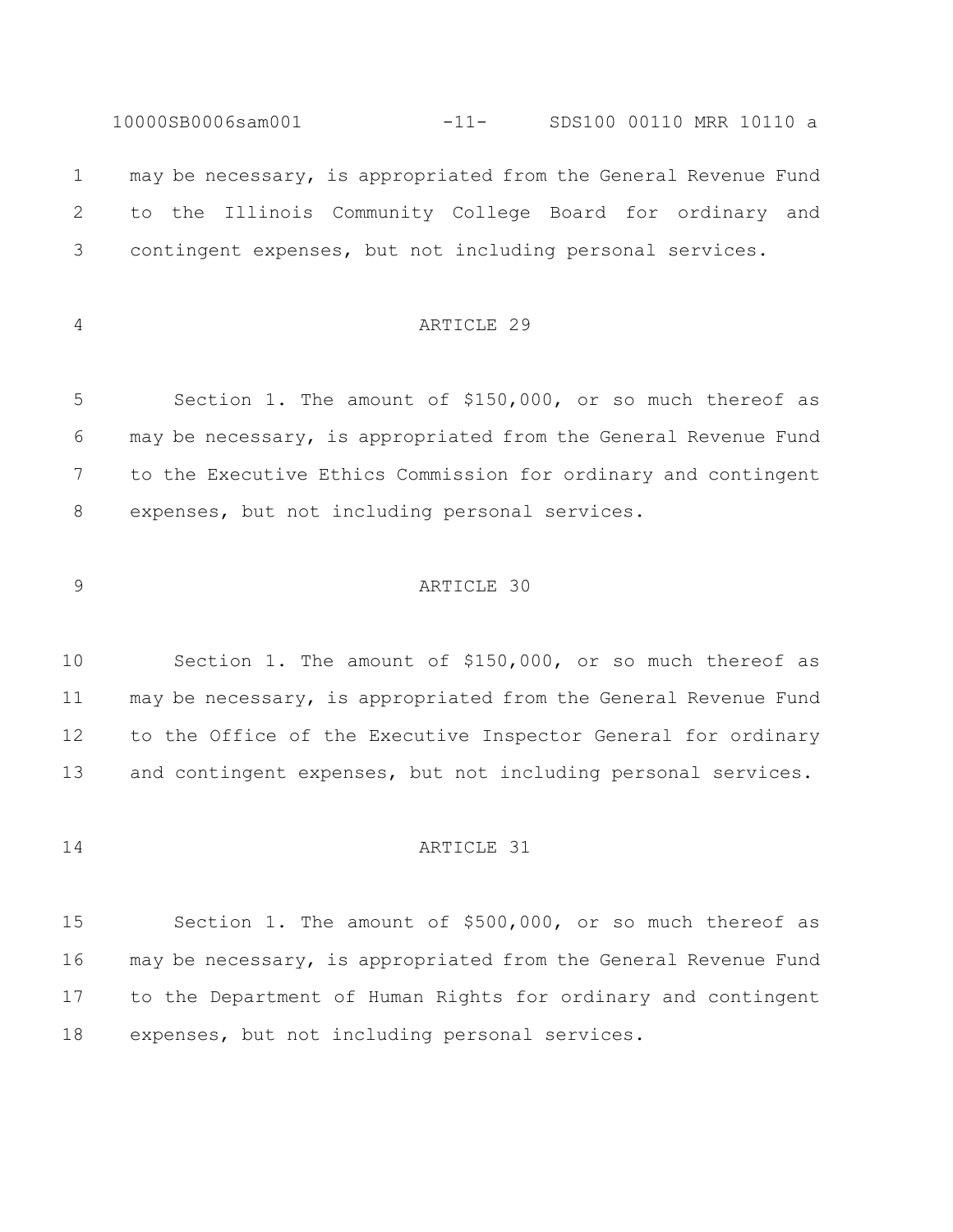10000SB0006sam001 -11- SDS100 00110 MRR 10110 a may be necessary, is appropriated from the General Revenue Fund to the Illinois Community College Board for ordinary and contingent expenses, but not including personal services.

# ARTICLE 29

 Section 1. The amount of \$150,000, or so much thereof as may be necessary, is appropriated from the General Revenue Fund to the Executive Ethics Commission for ordinary and contingent expenses, but not including personal services.

## ARTICLE 30

 Section 1. The amount of \$150,000, or so much thereof as may be necessary, is appropriated from the General Revenue Fund to the Office of the Executive Inspector General for ordinary and contingent expenses, but not including personal services.

# ARTICLE 31

 Section 1. The amount of \$500,000, or so much thereof as may be necessary, is appropriated from the General Revenue Fund to the Department of Human Rights for ordinary and contingent expenses, but not including personal services.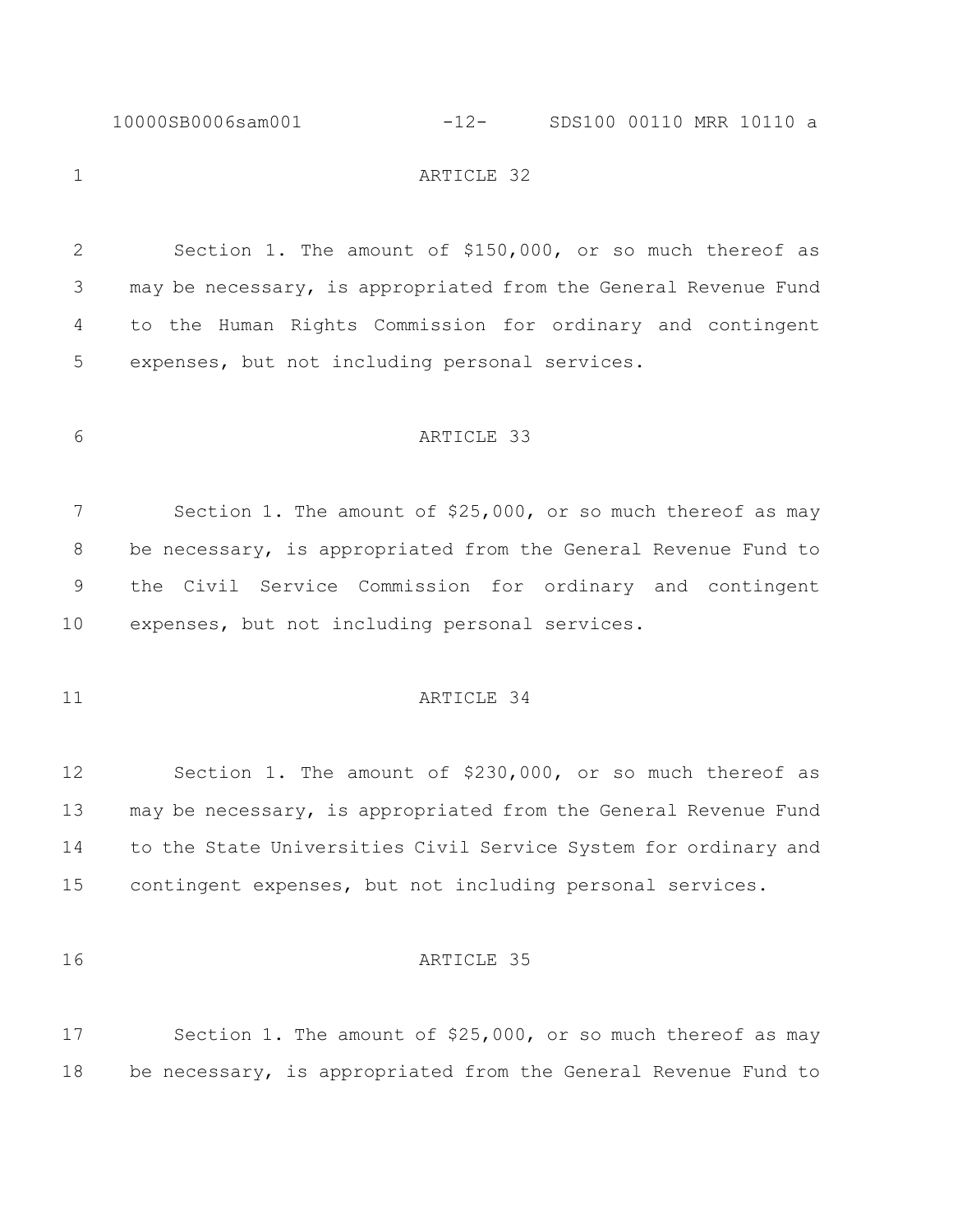#### 10000SB0006sam001 -12- SDS100 00110 MRR 10110 a

# 1 ARTICLE 32

 Section 1. The amount of \$150,000, or so much thereof as may be necessary, is appropriated from the General Revenue Fund to the Human Rights Commission for ordinary and contingent expenses, but not including personal services.

# ARTICLE 33

7 Section 1. The amount of \$25,000, or so much thereof as may be necessary, is appropriated from the General Revenue Fund to the Civil Service Commission for ordinary and contingent expenses, but not including personal services.

# 11 ARTICLE 34

 Section 1. The amount of \$230,000, or so much thereof as may be necessary, is appropriated from the General Revenue Fund to the State Universities Civil Service System for ordinary and contingent expenses, but not including personal services.

# 16 ARTICLE 35

 Section 1. The amount of \$25,000, or so much thereof as may be necessary, is appropriated from the General Revenue Fund to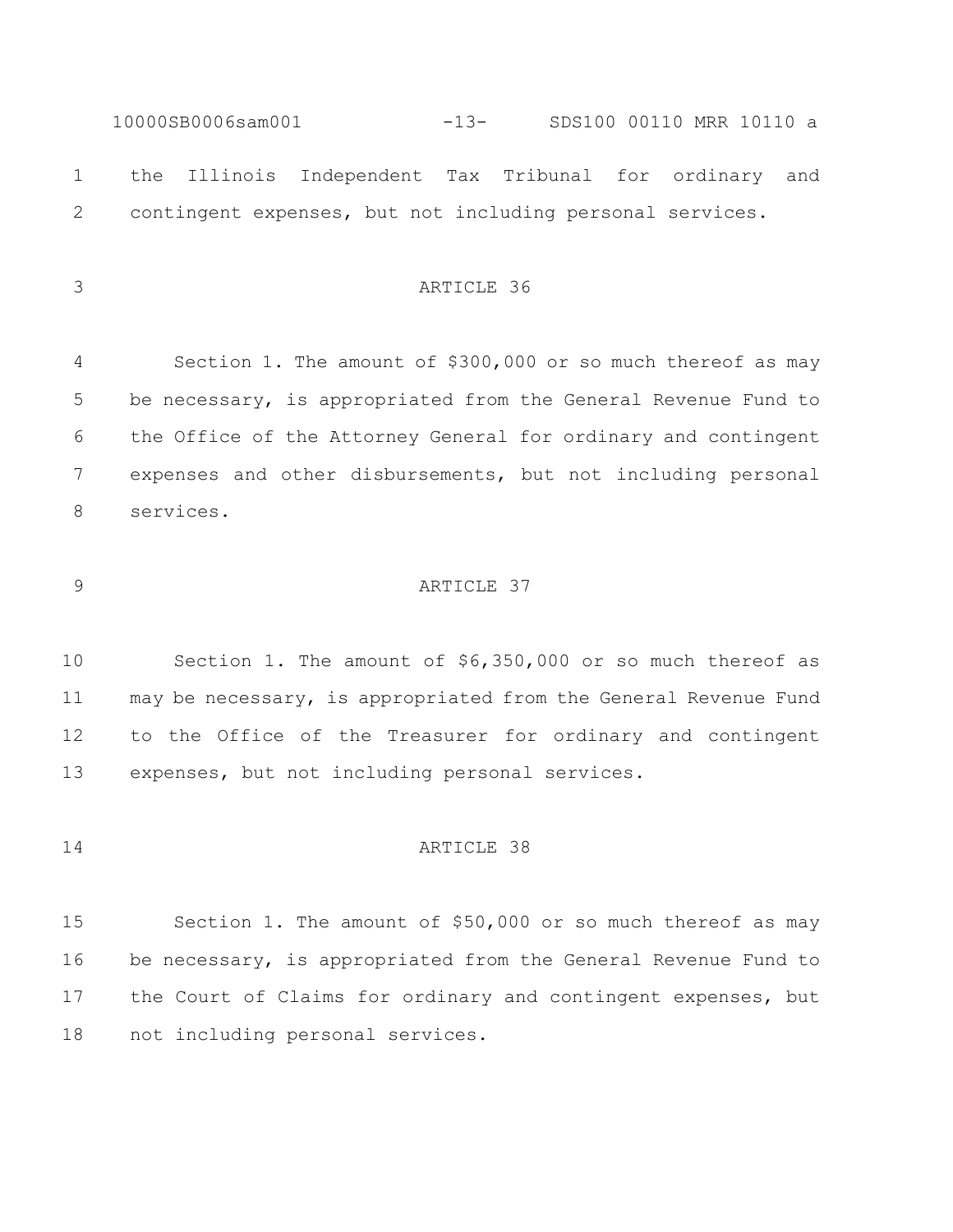10000SB0006sam001 -13- SDS100 00110 MRR 10110 a the Illinois Independent Tax Tribunal for ordinary and contingent expenses, but not including personal services.

# ARTICLE 36

 Section 1. The amount of \$300,000 or so much thereof as may be necessary, is appropriated from the General Revenue Fund to the Office of the Attorney General for ordinary and contingent expenses and other disbursements, but not including personal services.

## ARTICLE 37

 Section 1. The amount of \$6,350,000 or so much thereof as may be necessary, is appropriated from the General Revenue Fund to the Office of the Treasurer for ordinary and contingent expenses, but not including personal services.

# ARTICLE 38

 Section 1. The amount of \$50,000 or so much thereof as may be necessary, is appropriated from the General Revenue Fund to the Court of Claims for ordinary and contingent expenses, but not including personal services.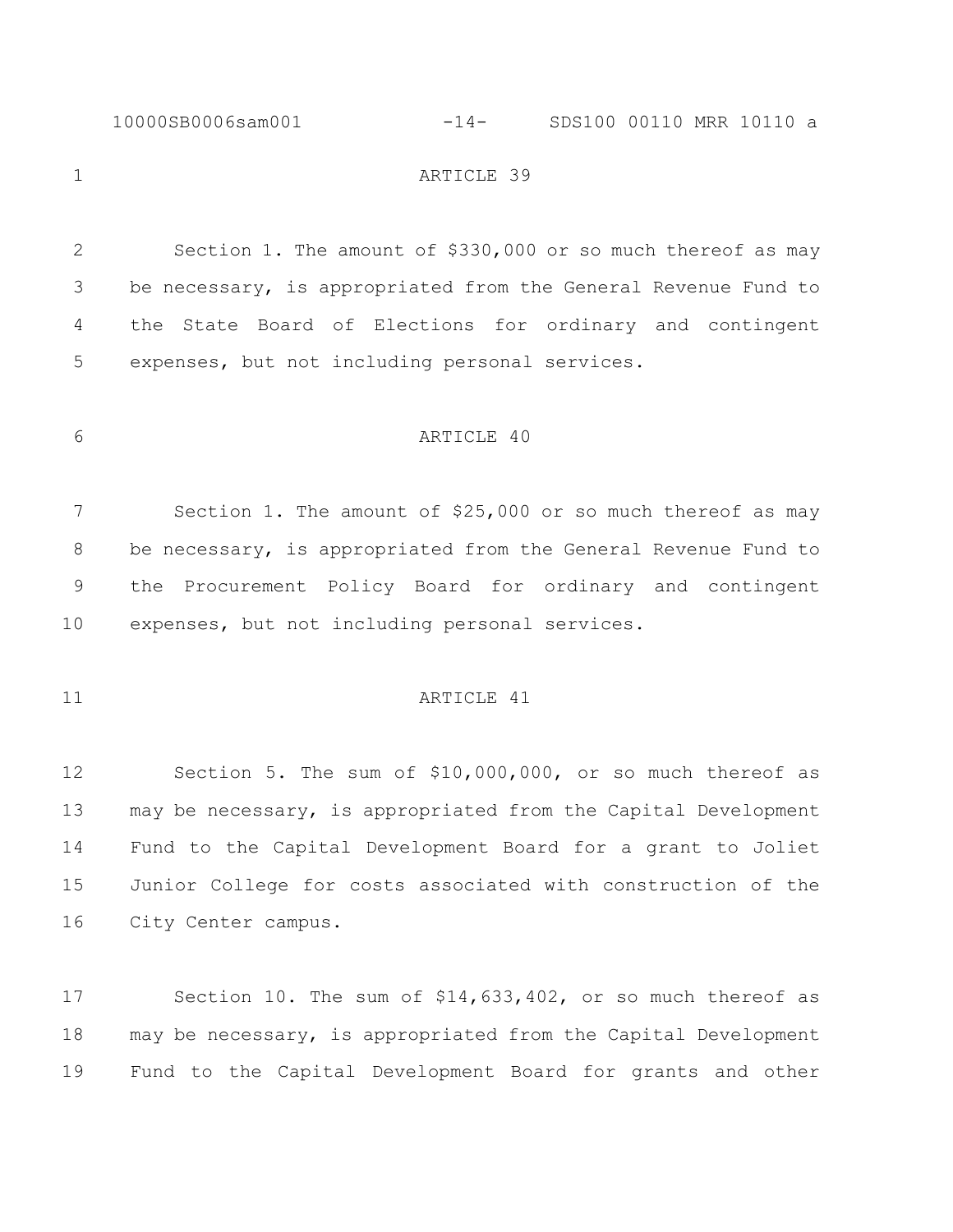10000SB0006sam001 -14- SDS100 00110 MRR 10110 a

1 ARTICLE 39

 Section 1. The amount of \$330,000 or so much thereof as may be necessary, is appropriated from the General Revenue Fund to the State Board of Elections for ordinary and contingent expenses, but not including personal services.

### ARTICLE 40

 Section 1. The amount of \$25,000 or so much thereof as may be necessary, is appropriated from the General Revenue Fund to the Procurement Policy Board for ordinary and contingent expenses, but not including personal services.

# 11 ARTICLE 41

 Section 5. The sum of \$10,000,000, or so much thereof as may be necessary, is appropriated from the Capital Development Fund to the Capital Development Board for a grant to Joliet Junior College for costs associated with construction of the City Center campus.

 Section 10. The sum of \$14,633,402, or so much thereof as may be necessary, is appropriated from the Capital Development Fund to the Capital Development Board for grants and other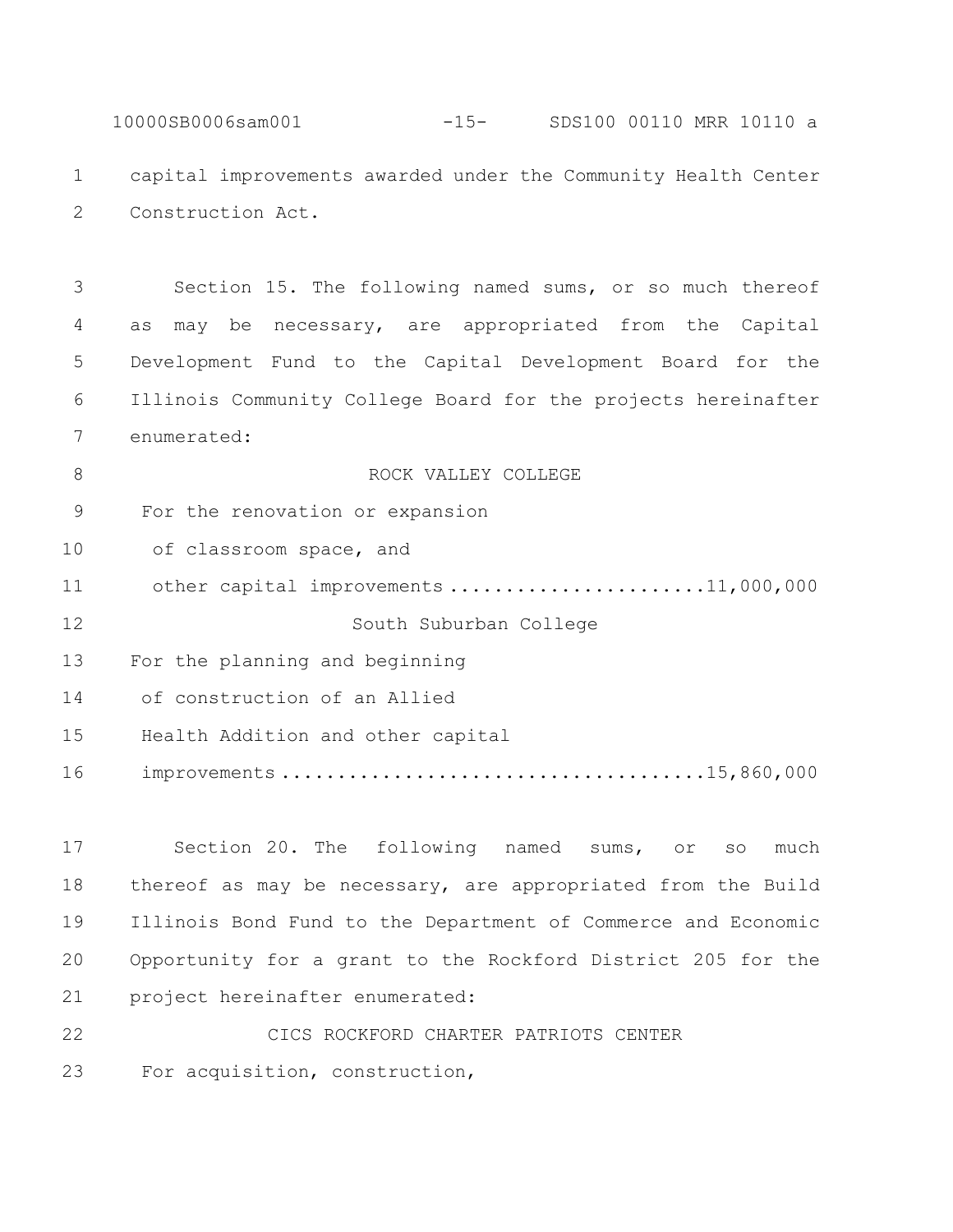10000SB0006sam001 -15- SDS100 00110 MRR 10110 a capital improvements awarded under the Community Health Center Construction Act.

 Section 15. The following named sums, or so much thereof as may be necessary, are appropriated from the Capital Development Fund to the Capital Development Board for the Illinois Community College Board for the projects hereinafter enumerated:

**B** ROCK VALLEY COLLEGE For the renovation or expansion 10 of classroom space, and 11 other capital improvements .........................11,000,000 South Suburban College For the planning and beginning of construction of an Allied Health Addition and other capital improvements ......................................15,860,000

 Section 20. The following named sums, or so much thereof as may be necessary, are appropriated from the Build Illinois Bond Fund to the Department of Commerce and Economic Opportunity for a grant to the Rockford District 205 for the project hereinafter enumerated:

 CICS ROCKFORD CHARTER PATRIOTS CENTER For acquisition, construction,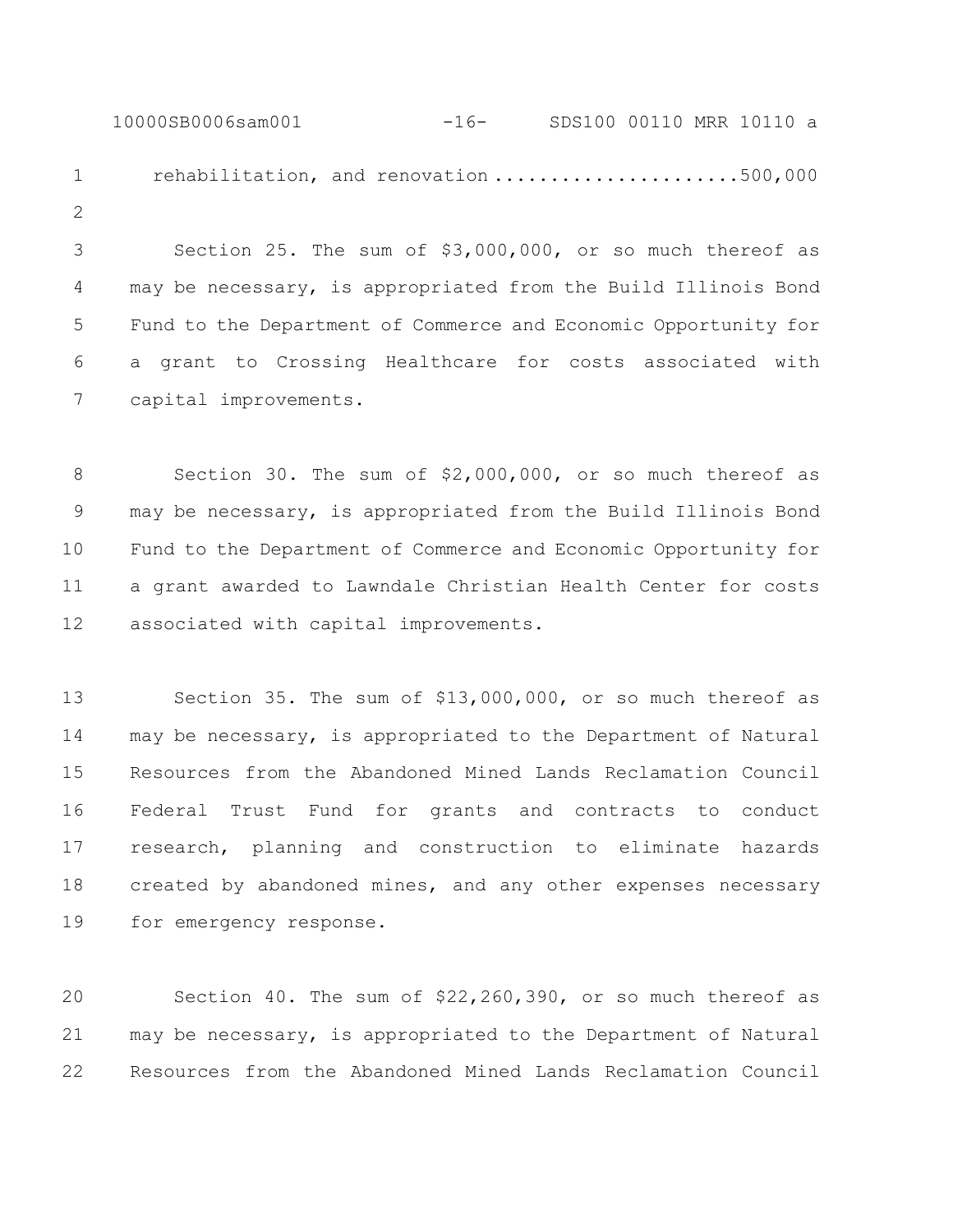10000SB0006sam001 -16- SDS100 00110 MRR 10110 a 1 rehabilitation, and renovation ........................500,000 

 Section 25. The sum of \$3,000,000, or so much thereof as may be necessary, is appropriated from the Build Illinois Bond Fund to the Department of Commerce and Economic Opportunity for a grant to Crossing Healthcare for costs associated with capital improvements.

 Section 30. The sum of \$2,000,000, or so much thereof as may be necessary, is appropriated from the Build Illinois Bond Fund to the Department of Commerce and Economic Opportunity for a grant awarded to Lawndale Christian Health Center for costs associated with capital improvements.

 Section 35. The sum of \$13,000,000, or so much thereof as may be necessary, is appropriated to the Department of Natural Resources from the Abandoned Mined Lands Reclamation Council Federal Trust Fund for grants and contracts to conduct research, planning and construction to eliminate hazards created by abandoned mines, and any other expenses necessary for emergency response.

 Section 40. The sum of \$22,260,390, or so much thereof as may be necessary, is appropriated to the Department of Natural Resources from the Abandoned Mined Lands Reclamation Council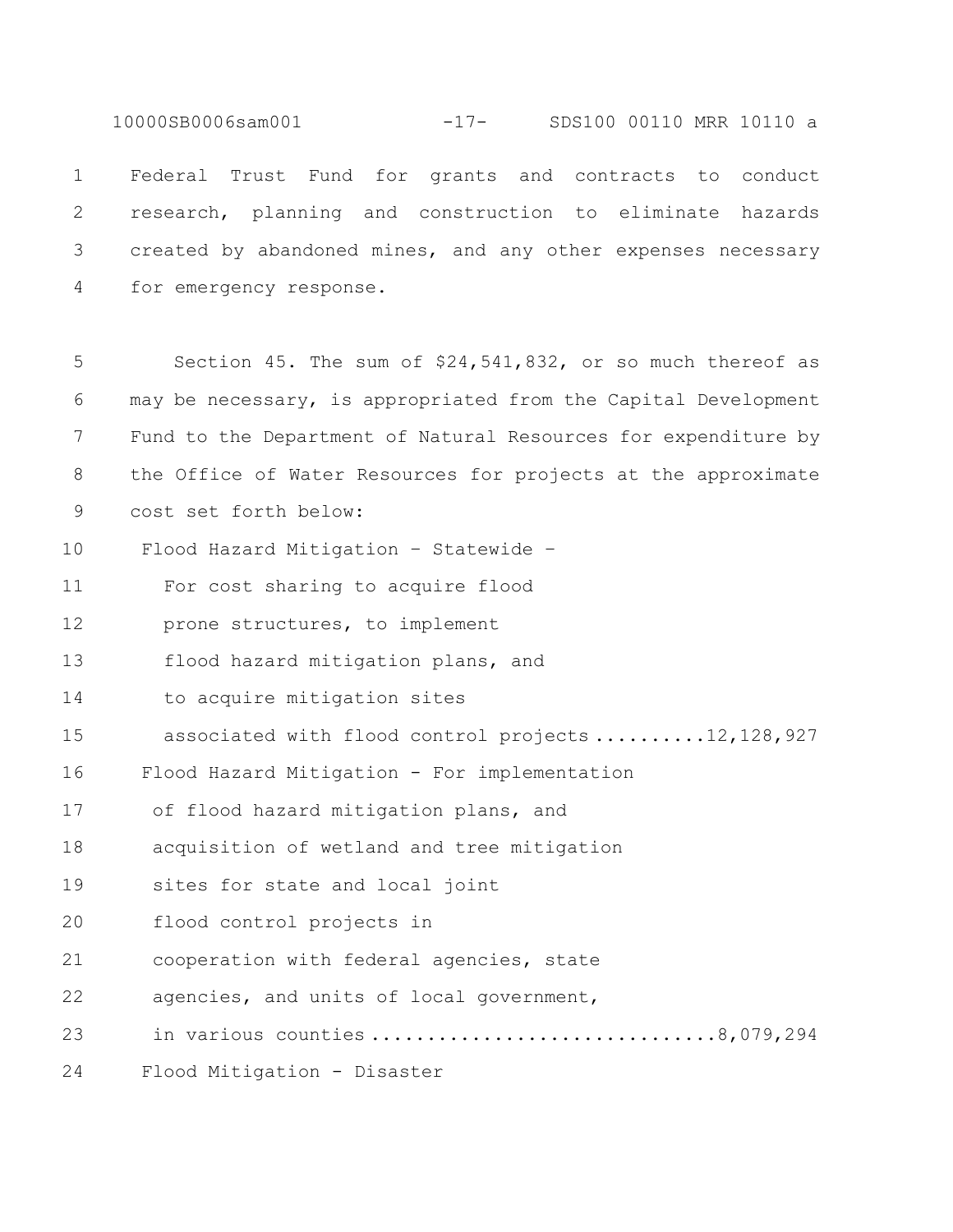10000SB0006sam001 -17- SDS100 00110 MRR 10110 a

 Federal Trust Fund for grants and contracts to conduct research, planning and construction to eliminate hazards created by abandoned mines, and any other expenses necessary for emergency response.

5 Section 45. The sum of \$24,541,832, or so much thereof as 6 may be necessary, is appropriated from the Capital Development 7 Fund to the Department of Natural Resources for expenditure by 8 the Office of Water Resources for projects at the approximate 9 cost set forth below: 10 Flood Hazard Mitigation – Statewide – 11 For cost sharing to acquire flood 12 prone structures, to implement 13 flood hazard mitigation plans, and 14 to acquire mitigation sites 15 associated with flood control projects ..........12,128,927 16 Flood Hazard Mitigation - For implementation 17 of flood hazard mitigation plans, and 18 acquisition of wetland and tree mitigation 19 sites for state and local joint 20 flood control projects in 21 cooperation with federal agencies, state 22 agencies, and units of local government, 23 in various counties ...............................8,079,294 24 Flood Mitigation - Disaster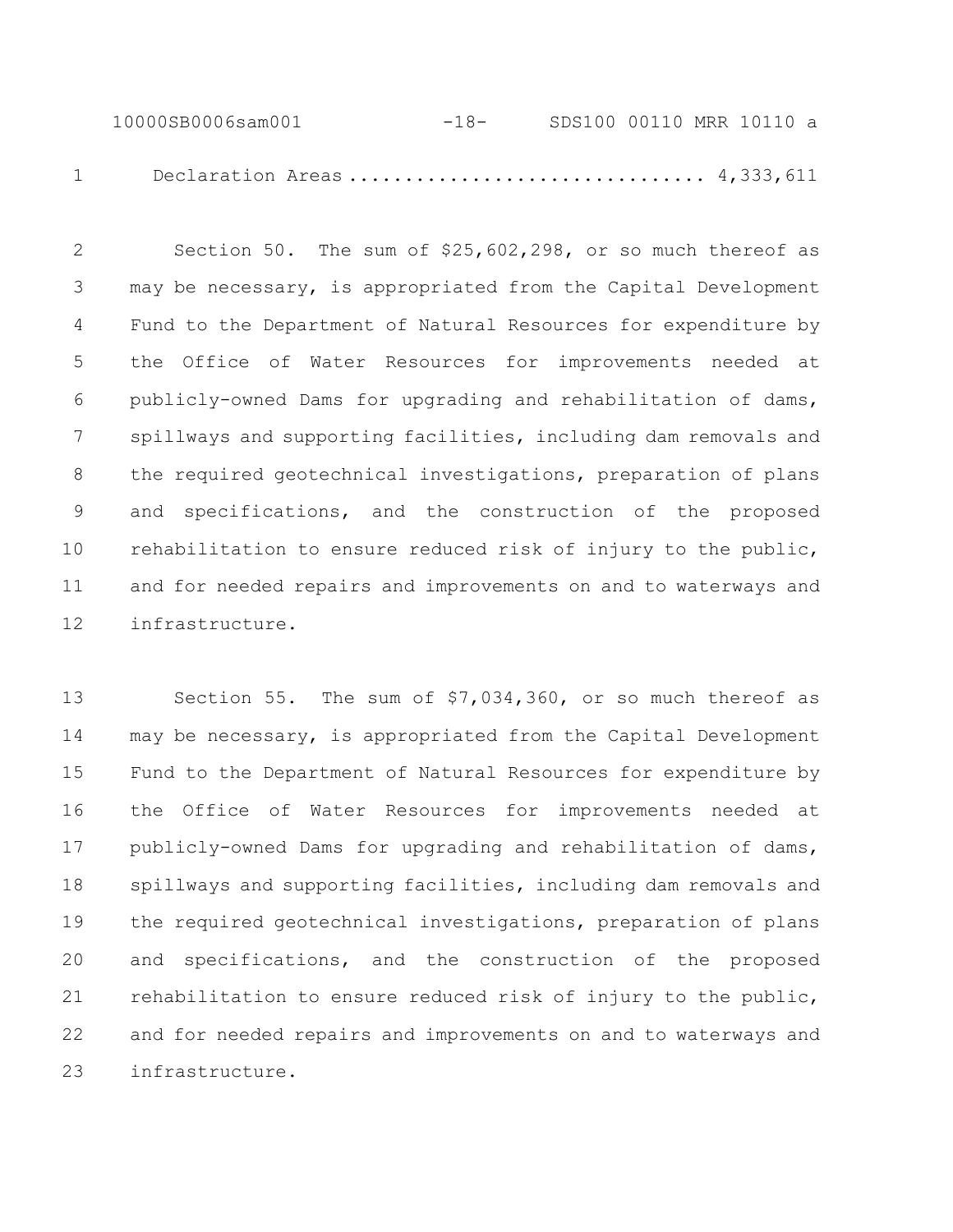10000SB0006sam001 -18- SDS100 00110 MRR 10110 a 1 Declaration Areas ................................ 4,333,611

 Section 50. The sum of \$25,602,298, or so much thereof as may be necessary, is appropriated from the Capital Development Fund to the Department of Natural Resources for expenditure by the Office of Water Resources for improvements needed at publicly-owned Dams for upgrading and rehabilitation of dams, spillways and supporting facilities, including dam removals and the required geotechnical investigations, preparation of plans and specifications, and the construction of the proposed rehabilitation to ensure reduced risk of injury to the public, and for needed repairs and improvements on and to waterways and infrastructure.

 Section 55. The sum of \$7,034,360, or so much thereof as may be necessary, is appropriated from the Capital Development Fund to the Department of Natural Resources for expenditure by the Office of Water Resources for improvements needed at publicly-owned Dams for upgrading and rehabilitation of dams, spillways and supporting facilities, including dam removals and the required geotechnical investigations, preparation of plans and specifications, and the construction of the proposed rehabilitation to ensure reduced risk of injury to the public, and for needed repairs and improvements on and to waterways and infrastructure.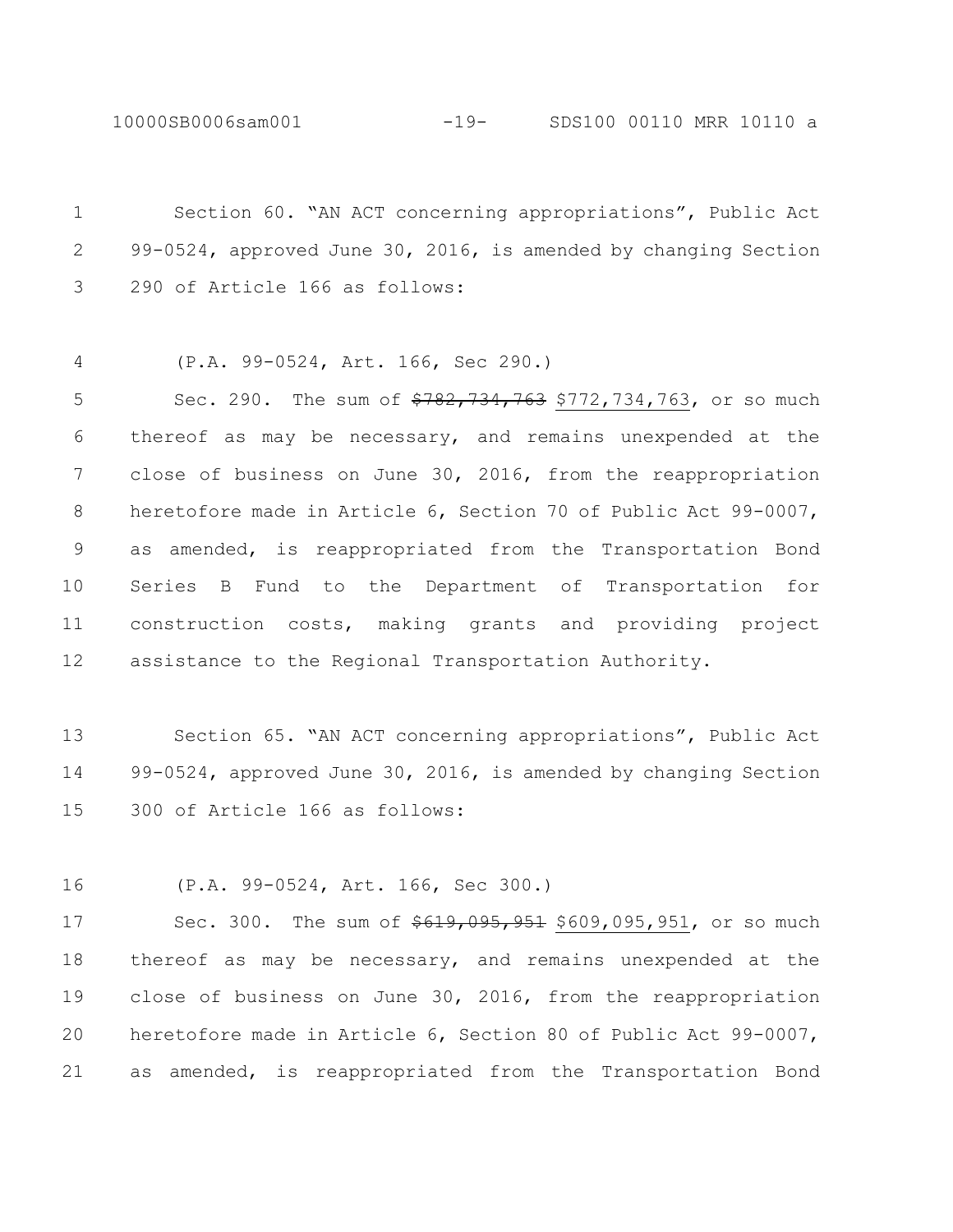10000SB0006sam001 -19- SDS100 00110 MRR 10110 a

 Section 60. "AN ACT concerning appropriations", Public Act 99-0524, approved June 30, 2016, is amended by changing Section 290 of Article 166 as follows:

(P.A. 99-0524, Art. 166, Sec 290.)

5 Sec. 290. The sum of  $\frac{290}{782}$ , 734, 763, 734, 763, or so much thereof as may be necessary, and remains unexpended at the close of business on June 30, 2016, from the reappropriation heretofore made in Article 6, Section 70 of Public Act 99-0007, as amended, is reappropriated from the Transportation Bond Series B Fund to the Department of Transportation for construction costs, making grants and providing project assistance to the Regional Transportation Authority.

 Section 65. "AN ACT concerning appropriations", Public Act 99-0524, approved June 30, 2016, is amended by changing Section 300 of Article 166 as follows:

(P.A. 99-0524, Art. 166, Sec 300.)

17 Sec. 300. The sum of  $\frac{619,095,951}{609,095,951}$ , or so much thereof as may be necessary, and remains unexpended at the close of business on June 30, 2016, from the reappropriation heretofore made in Article 6, Section 80 of Public Act 99-0007, as amended, is reappropriated from the Transportation Bond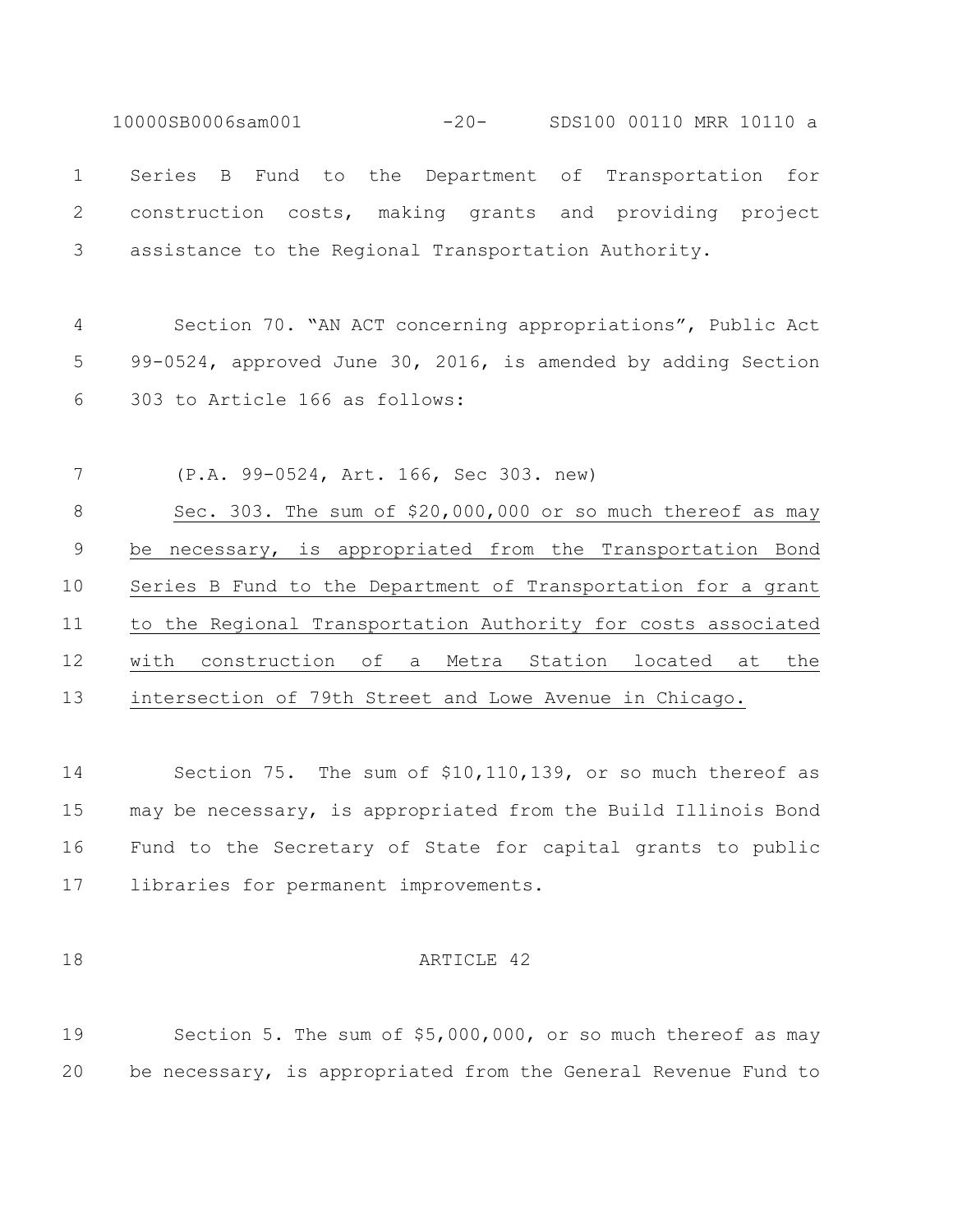10000SB0006sam001 -20- SDS100 00110 MRR 10110 a Series B Fund to the Department of Transportation for construction costs, making grants and providing project assistance to the Regional Transportation Authority. Section 70. "AN ACT concerning appropriations", Public Act

 99-0524, approved June 30, 2016, is amended by adding Section 303 to Article 166 as follows:

 (P.A. 99-0524, Art. 166, Sec 303. new) 8 Sec. 303. The sum of \$20,000,000 or so much thereof as may be necessary, is appropriated from the Transportation Bond Series B Fund to the Department of Transportation for a grant to the Regional Transportation Authority for costs associated with construction of a Metra Station located at the intersection of 79th Street and Lowe Avenue in Chicago.

 Section 75. The sum of \$10,110,139, or so much thereof as may be necessary, is appropriated from the Build Illinois Bond Fund to the Secretary of State for capital grants to public libraries for permanent improvements.

#### 18 ARTICLE 42

 Section 5. The sum of \$5,000,000, or so much thereof as may be necessary, is appropriated from the General Revenue Fund to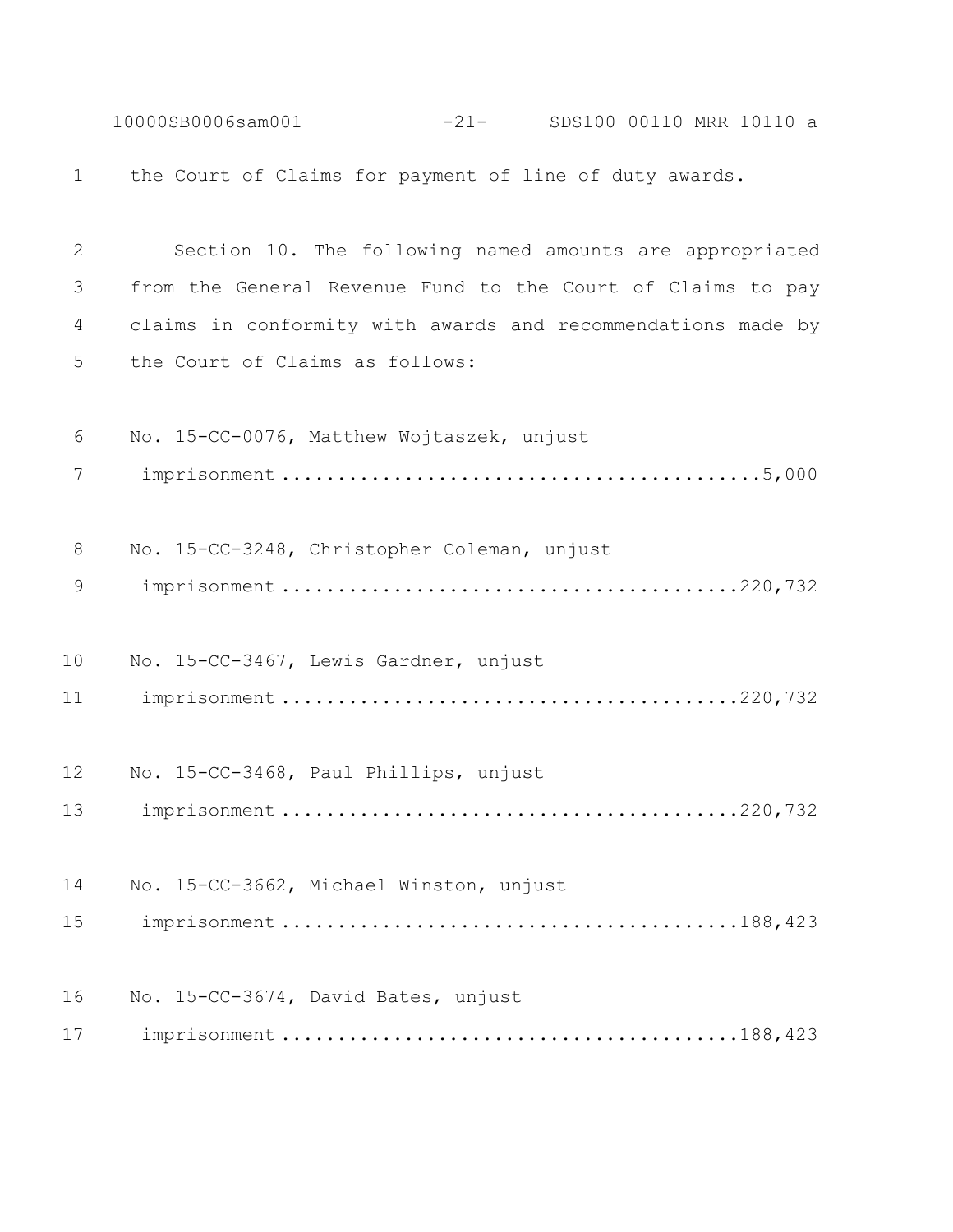10000SB0006sam001 -21- SDS100 00110 MRR 10110 a the Court of Claims for payment of line of duty awards. Section 10. The following named amounts are appropriated from the General Revenue Fund to the Court of Claims to pay claims in conformity with awards and recommendations made by the Court of Claims as follows: No. 15-CC-0076, Matthew Wojtaszek, unjust imprisonment ...........................................5,000 No. 15-CC-3248, Christopher Coleman, unjust imprisonment .........................................220,732 No. 15-CC-3467, Lewis Gardner, unjust imprisonment .........................................220,732 No. 15-CC-3468, Paul Phillips, unjust imprisonment .........................................220,732 No. 15-CC-3662, Michael Winston, unjust imprisonment .........................................188,423 No. 15-CC-3674, David Bates, unjust imprisonment .........................................188,423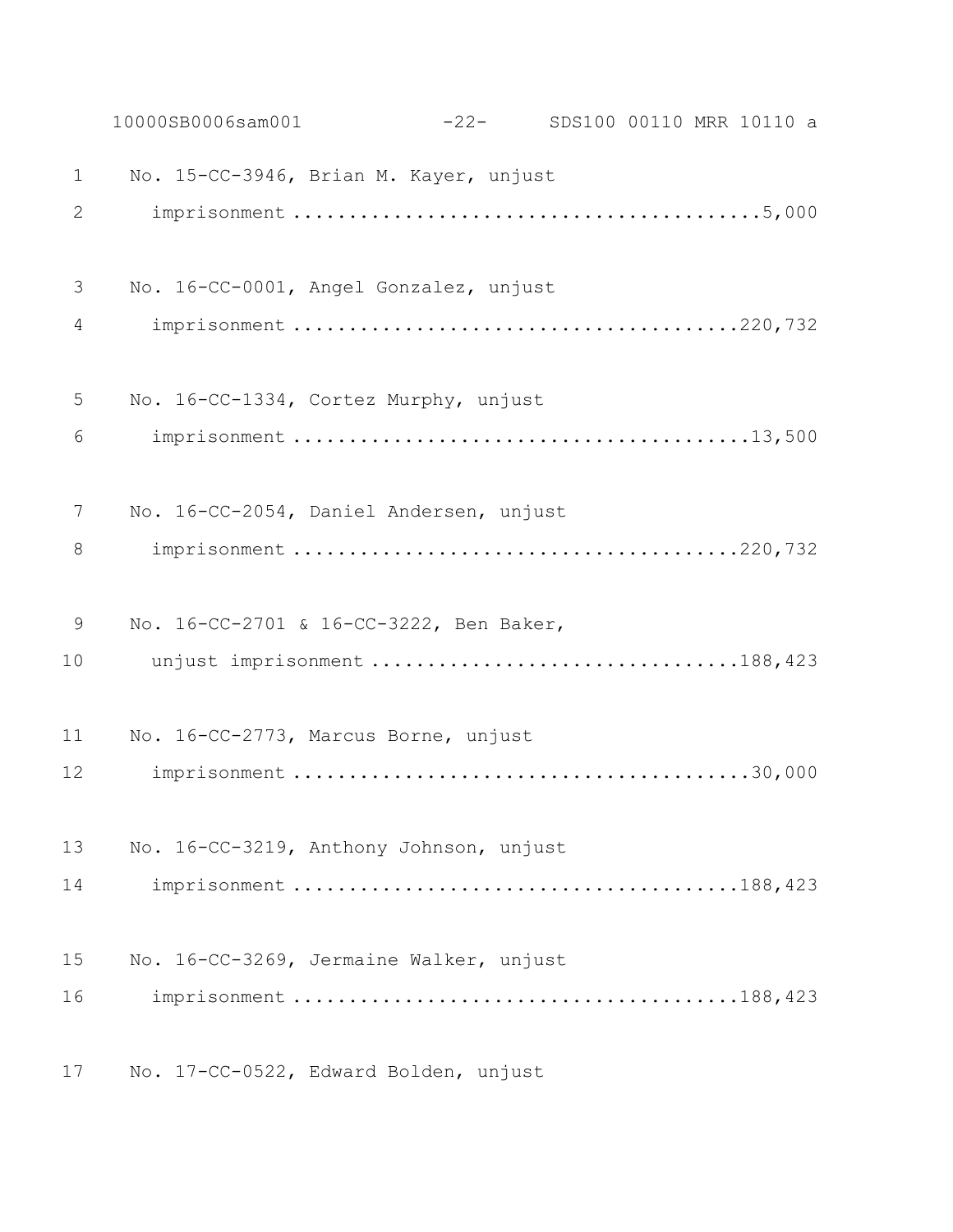|                | 10000SB0006sam001                       | $-22-$ |  | SDS100 00110 MRR 10110 a |  |
|----------------|-----------------------------------------|--------|--|--------------------------|--|
| $\mathbf 1$    | No. 15-CC-3946, Brian M. Kayer, unjust  |        |  |                          |  |
| $\overline{2}$ |                                         |        |  |                          |  |
| 3              | No. 16-CC-0001, Angel Gonzalez, unjust  |        |  |                          |  |
| $\overline{4}$ |                                         |        |  |                          |  |
| 5              | No. 16-CC-1334, Cortez Murphy, unjust   |        |  |                          |  |
| 6              |                                         |        |  |                          |  |
| 7              | No. 16-CC-2054, Daniel Andersen, unjust |        |  |                          |  |
| 8              |                                         |        |  |                          |  |
| 9              | No. 16-CC-2701 & 16-CC-3222, Ben Baker, |        |  |                          |  |
| 10             | unjust imprisonment 188,423             |        |  |                          |  |
| 11             | No. 16-CC-2773, Marcus Borne, unjust    |        |  |                          |  |
| 12             |                                         |        |  |                          |  |
| 13             | No. 16-CC-3219, Anthony Johnson, unjust |        |  |                          |  |
| 14             |                                         |        |  |                          |  |
| 15             | No. 16-CC-3269, Jermaine Walker, unjust |        |  |                          |  |
| 16             |                                         |        |  |                          |  |
| 17             | No. 17-CC-0522, Edward Bolden, unjust   |        |  |                          |  |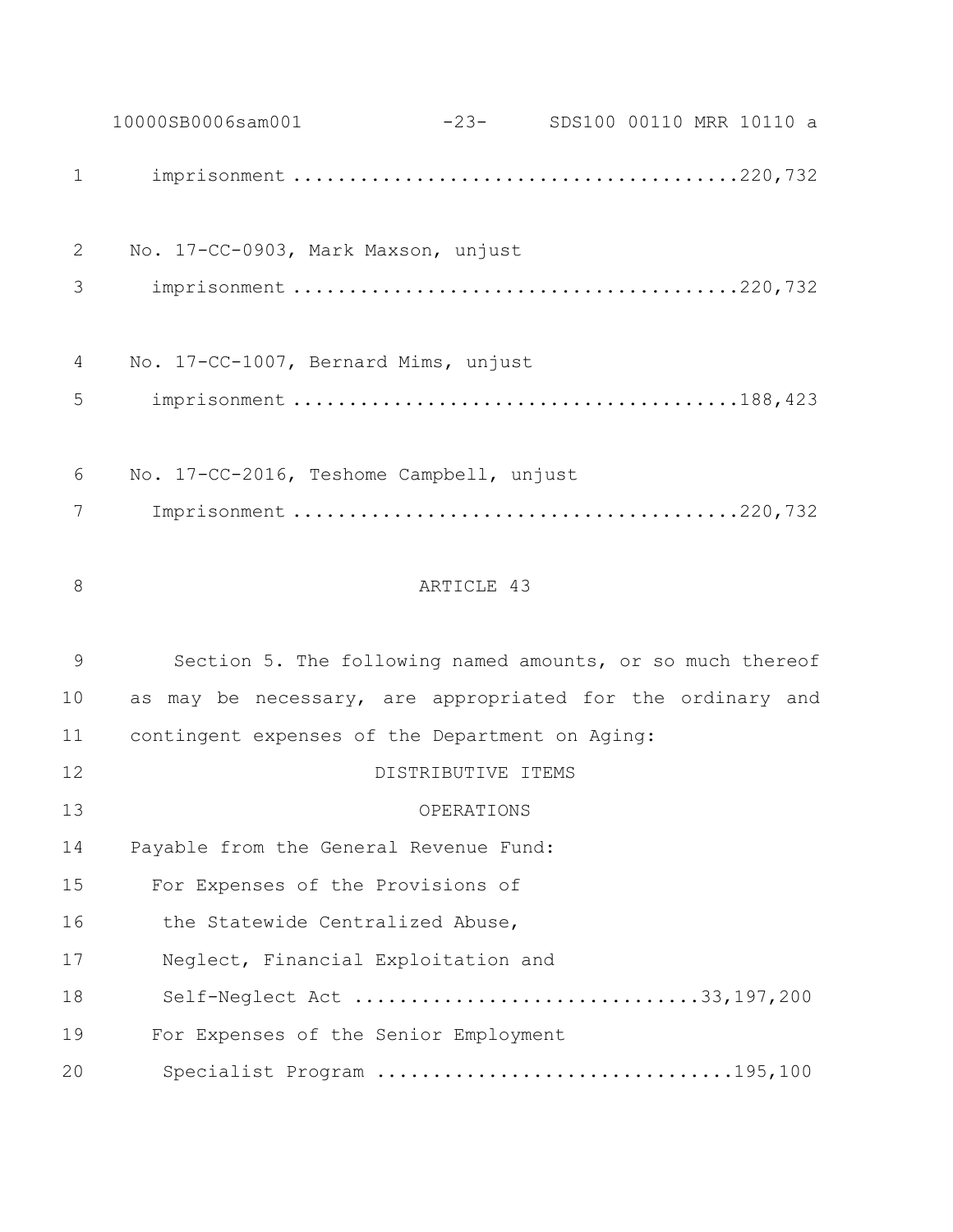10000SB0006sam001 -23- SDS100 00110 MRR 10110 a imprisonment ........................................220,732 No. 17-CC-0903, Mark Maxson, unjust imprisonment ........................................220,732 No. 17-CC-1007, Bernard Mims, unjust imprisonment ........................................188,423 No. 17-CC-2016, Teshome Campbell, unjust Imprisonment ........................................220,732 8 ARTICLE 43 Section 5. The following named amounts, or so much thereof as may be necessary, are appropriated for the ordinary and contingent expenses of the Department on Aging: DISTRIBUTIVE ITEMS OPERATIONS Payable from the General Revenue Fund: For Expenses of the Provisions of 16 the Statewide Centralized Abuse, Neglect, Financial Exploitation and Self-Neglect Act ...............................33,197,200 For Expenses of the Senior Employment Specialist Program ................................195,100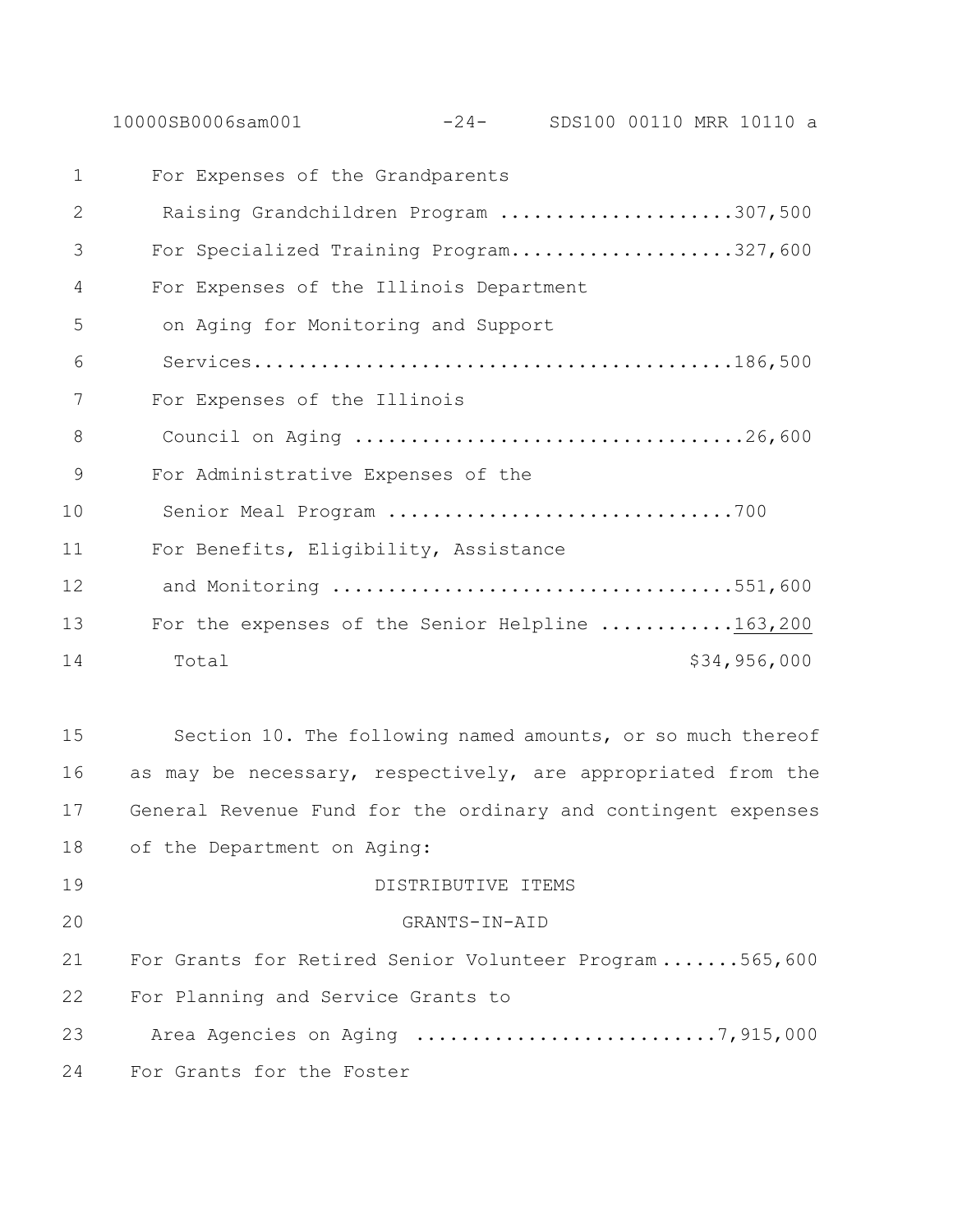10000SB0006sam001 -24- SDS100 00110 MRR 10110 a

| $\mathbf{1}$ | For Expenses of the Grandparents                            |
|--------------|-------------------------------------------------------------|
| 2            | Raising Grandchildren Program 307,500                       |
| 3            | For Specialized Training Program327,600                     |
| 4            | For Expenses of the Illinois Department                     |
| 5            | on Aging for Monitoring and Support                         |
| 6            |                                                             |
| 7            | For Expenses of the Illinois                                |
| 8            |                                                             |
| 9            | For Administrative Expenses of the                          |
| 10           | Senior Meal Program 700                                     |
| 11           | For Benefits, Eligibility, Assistance                       |
| 12           | and Monitoring 551,600                                      |
| 13           | For the expenses of the Senior Helpline 163,200             |
| 14           | \$34,956,000<br>Total                                       |
|              |                                                             |
| 15           | Section 10. The following named amounts, or so much thereof |

 as may be necessary, respectively, are appropriated from the General Revenue Fund for the ordinary and contingent expenses of the Department on Aging:

 DISTRIBUTIVE ITEMS GRANTS-IN-AID For Grants for Retired Senior Volunteer Program .......565,600 For Planning and Service Grants to Area Agencies on Aging ...........................7,915,000

For Grants for the Foster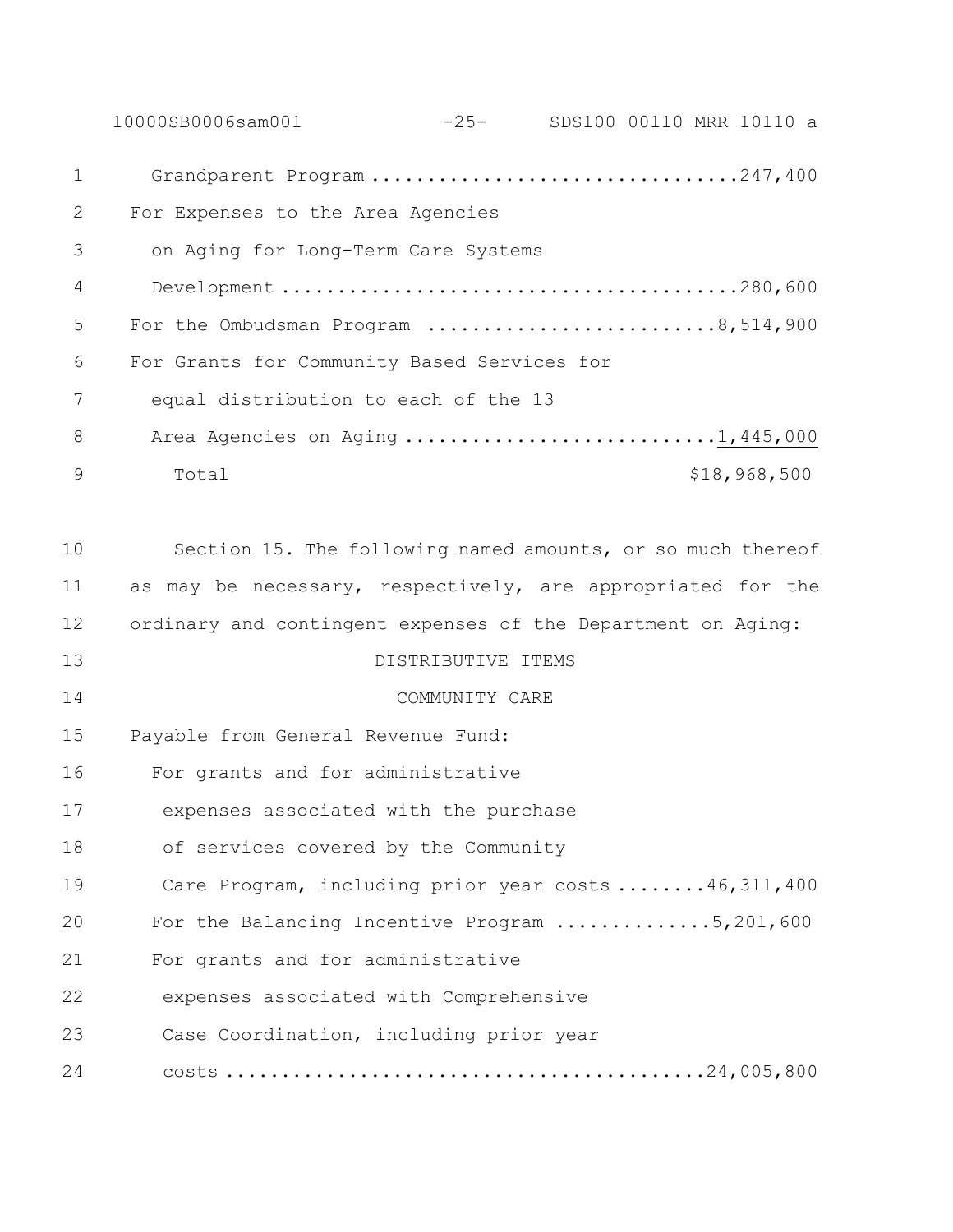10000SB0006sam001 -25- SDS100 00110 MRR 10110 a Grandparent Program .................................247,400 For Expenses to the Area Agencies on Aging for Long-Term Care Systems Development .........................................280,600 5 For the Ombudsman Program ............................8,514,900 For Grants for Community Based Services for equal distribution to each of the 13 8 Area Agencies on Aging ..............................1,445,000 9 Total \$18,968,500 Section 15. The following named amounts, or so much thereof as may be necessary, respectively, are appropriated for the ordinary and contingent expenses of the Department on Aging: DISTRIBUTIVE ITEMS COMMUNITY CARE Payable from General Revenue Fund: For grants and for administrative expenses associated with the purchase of services covered by the Community Care Program, including prior year costs ........46,311,400 For the Balancing Incentive Program ..............5,201,600 For grants and for administrative expenses associated with Comprehensive Case Coordination, including prior year costs ...........................................24,005,800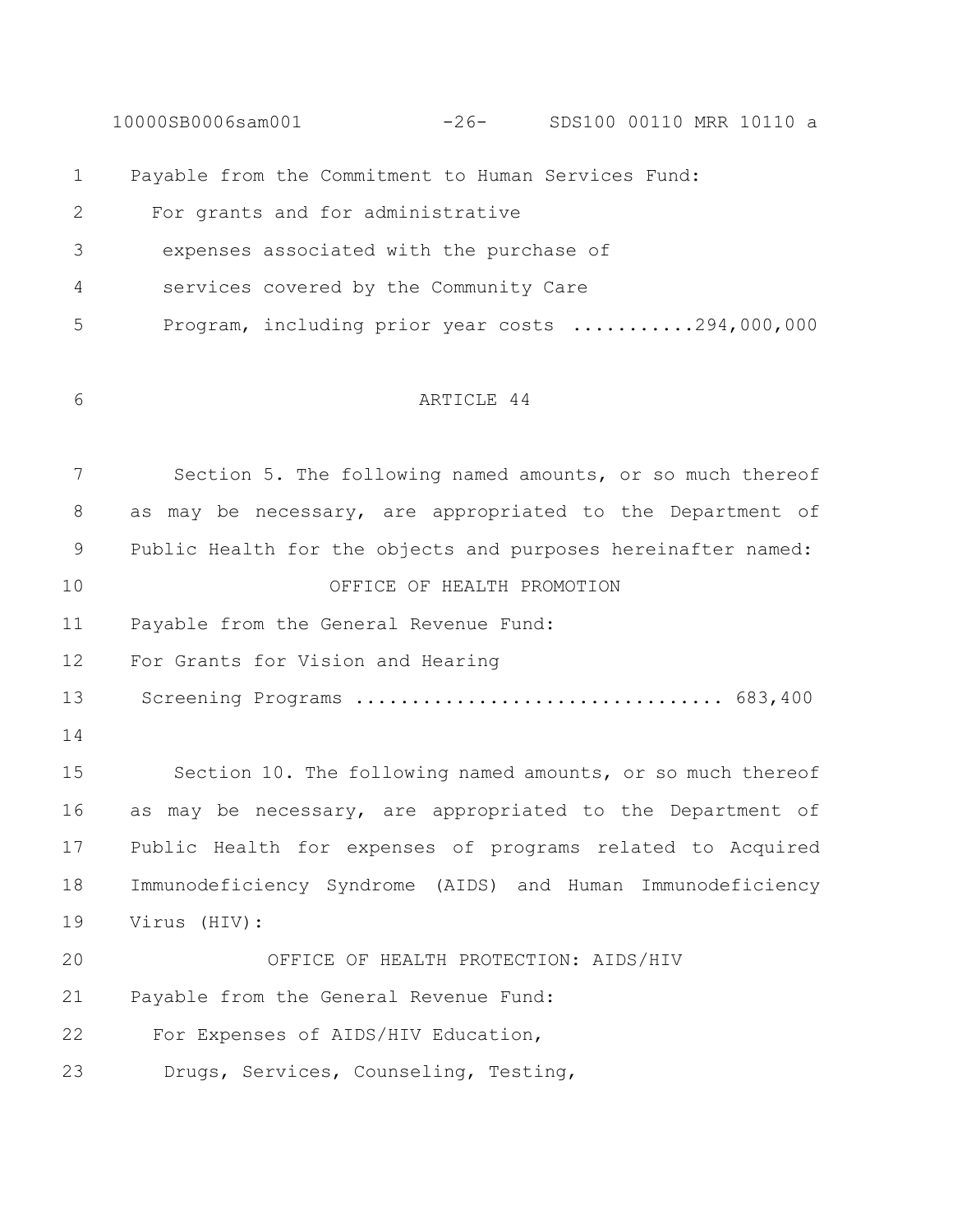10000SB0006sam001 -26- SDS100 00110 MRR 10110 a Payable from the Commitment to Human Services Fund: For grants and for administrative expenses associated with the purchase of services covered by the Community Care Program, including prior year costs ...........294,000,000 ARTICLE 44 Section 5. The following named amounts, or so much thereof as may be necessary, are appropriated to the Department of Public Health for the objects and purposes hereinafter named: OFFICE OF HEALTH PROMOTION Payable from the General Revenue Fund: For Grants for Vision and Hearing Screening Programs ................................. 683,400 Section 10. The following named amounts, or so much thereof as may be necessary, are appropriated to the Department of Public Health for expenses of programs related to Acquired Immunodeficiency Syndrome (AIDS) and Human Immunodeficiency Virus (HIV): OFFICE OF HEALTH PROTECTION: AIDS/HIV Payable from the General Revenue Fund: 22 For Expenses of AIDS/HIV Education, 23 Drugs, Services, Counseling, Testing,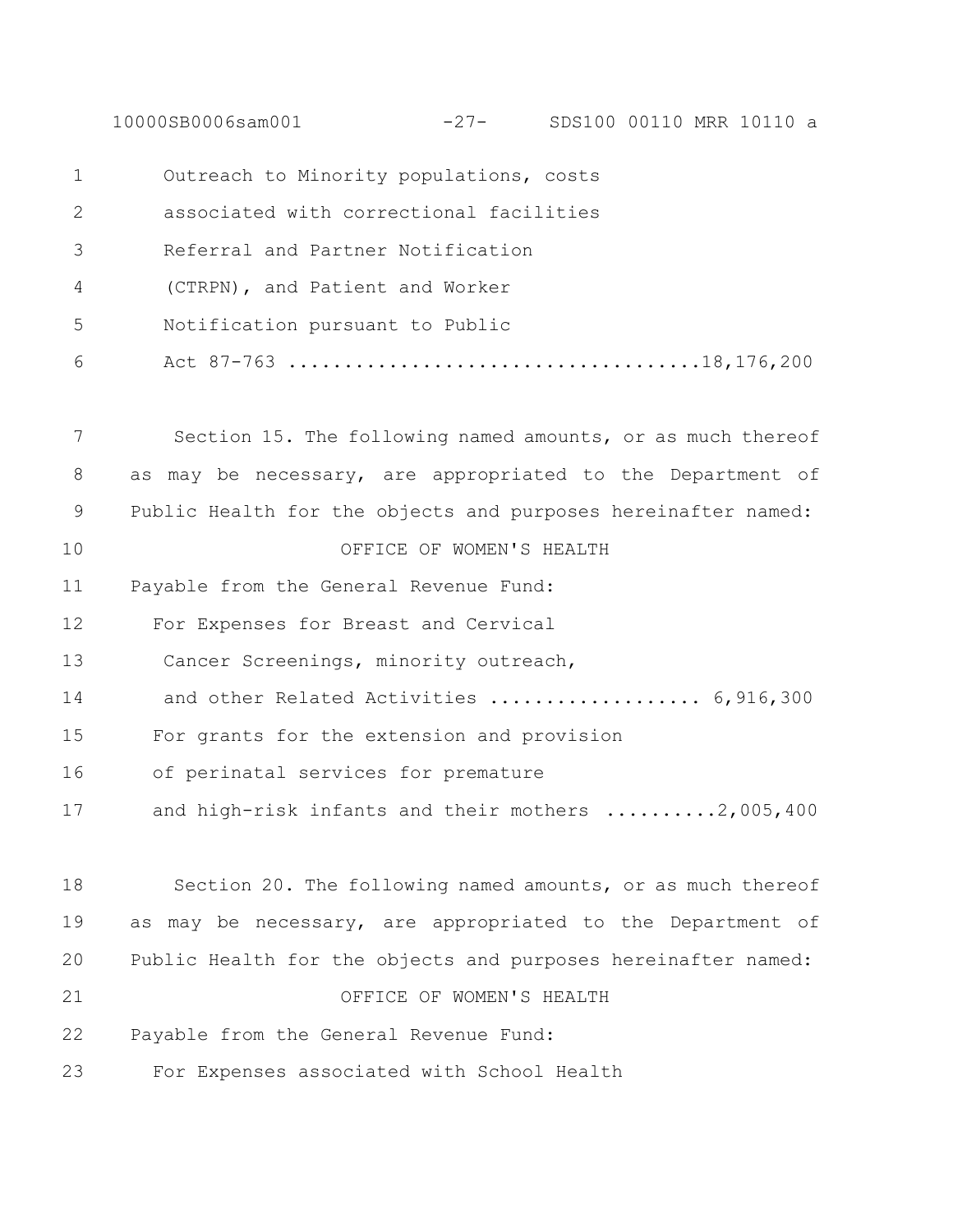10000SB0006sam001 -27- SDS100 00110 MRR 10110 a

| 1  | Outreach to Minority populations, costs                       |
|----|---------------------------------------------------------------|
| 2  | associated with correctional facilities                       |
| 3  | Referral and Partner Notification                             |
| 4  | (CTRPN), and Patient and Worker                               |
| 5  | Notification pursuant to Public                               |
| 6  |                                                               |
| 7  | Section 15. The following named amounts, or as much thereof   |
| 8  | as may be necessary, are appropriated to the Department of    |
| 9  | Public Health for the objects and purposes hereinafter named: |
| 10 | OFFICE OF WOMEN'S HEALTH                                      |
| 11 | Payable from the General Revenue Fund:                        |
| 12 | For Expenses for Breast and Cervical                          |
| 13 | Cancer Screenings, minority outreach,                         |
| 14 | and other Related Activities  6,916,300                       |
| 15 | For grants for the extension and provision                    |
| 16 | of perinatal services for premature                           |
| 17 | and high-risk infants and their mothers 2,005,400             |
| 18 | Section 20. The following named amounts, or as much thereof   |
| 19 | as may be necessary, are appropriated to the Department of    |
| 20 | Public Health for the objects and purposes hereinafter named: |
| 21 | OFFICE OF WOMEN'S HEALTH                                      |
| 22 | Payable from the General Revenue Fund:                        |
| 23 | For Expenses associated with School Health                    |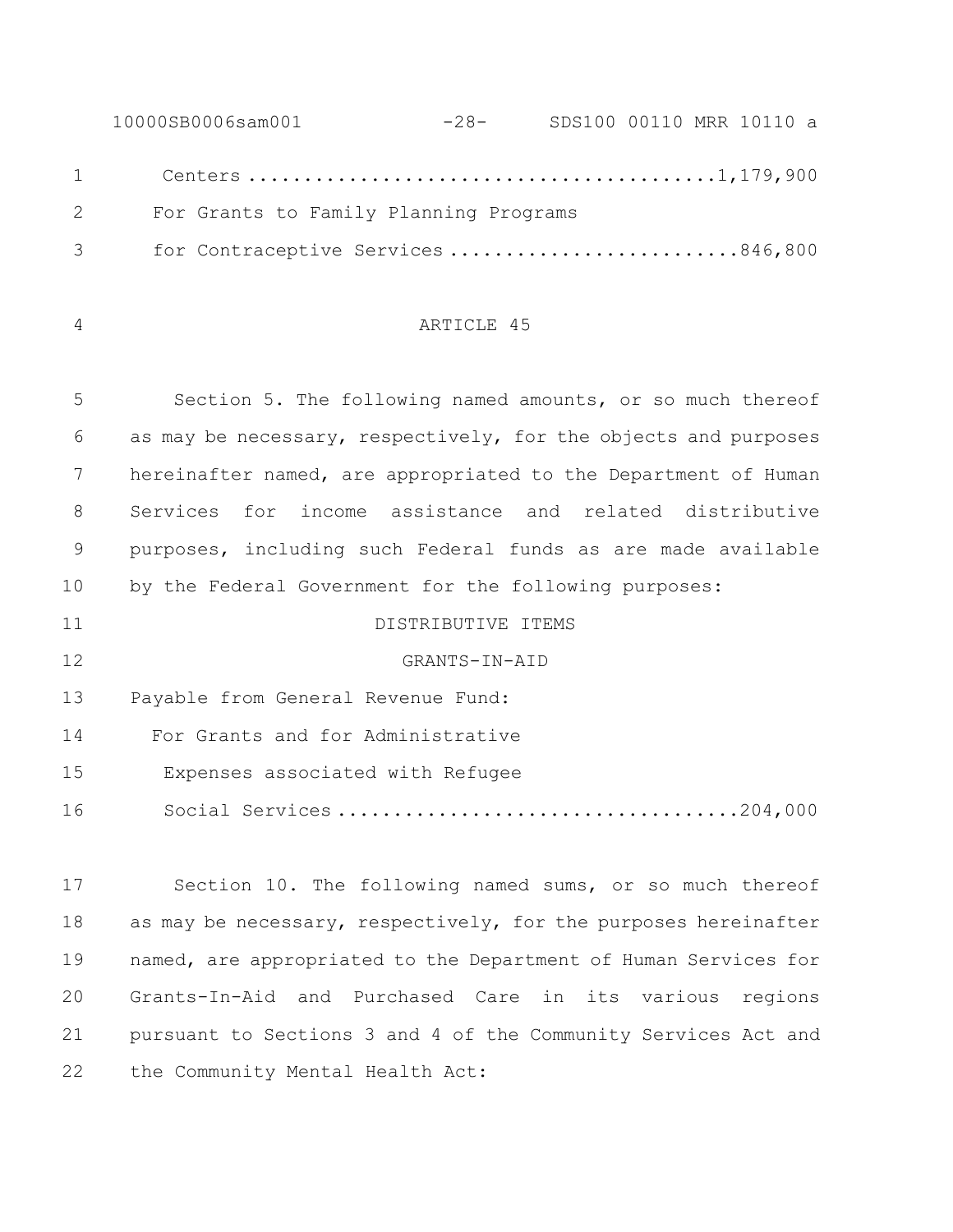10000SB0006sam001 -28- SDS100 00110 MRR 10110 a Centers ..........................................1,179,900 2 For Grants to Family Planning Programs 3 for Contraceptive Services ..........................846,800

#### ARTICLE 45

 Section 5. The following named amounts, or so much thereof as may be necessary, respectively, for the objects and purposes hereinafter named, are appropriated to the Department of Human Services for income assistance and related distributive purposes, including such Federal funds as are made available by the Federal Government for the following purposes:

 GRANTS-IN-AID Payable from General Revenue Fund: For Grants and for Administrative 15 Expenses associated with Refugee 16 Social Services ....................................204,000

DISTRIBUTIVE ITEMS

 Section 10. The following named sums, or so much thereof 18 as may be necessary, respectively, for the purposes hereinafter named, are appropriated to the Department of Human Services for Grants-In-Aid and Purchased Care in its various regions pursuant to Sections 3 and 4 of the Community Services Act and 22 the Community Mental Health Act: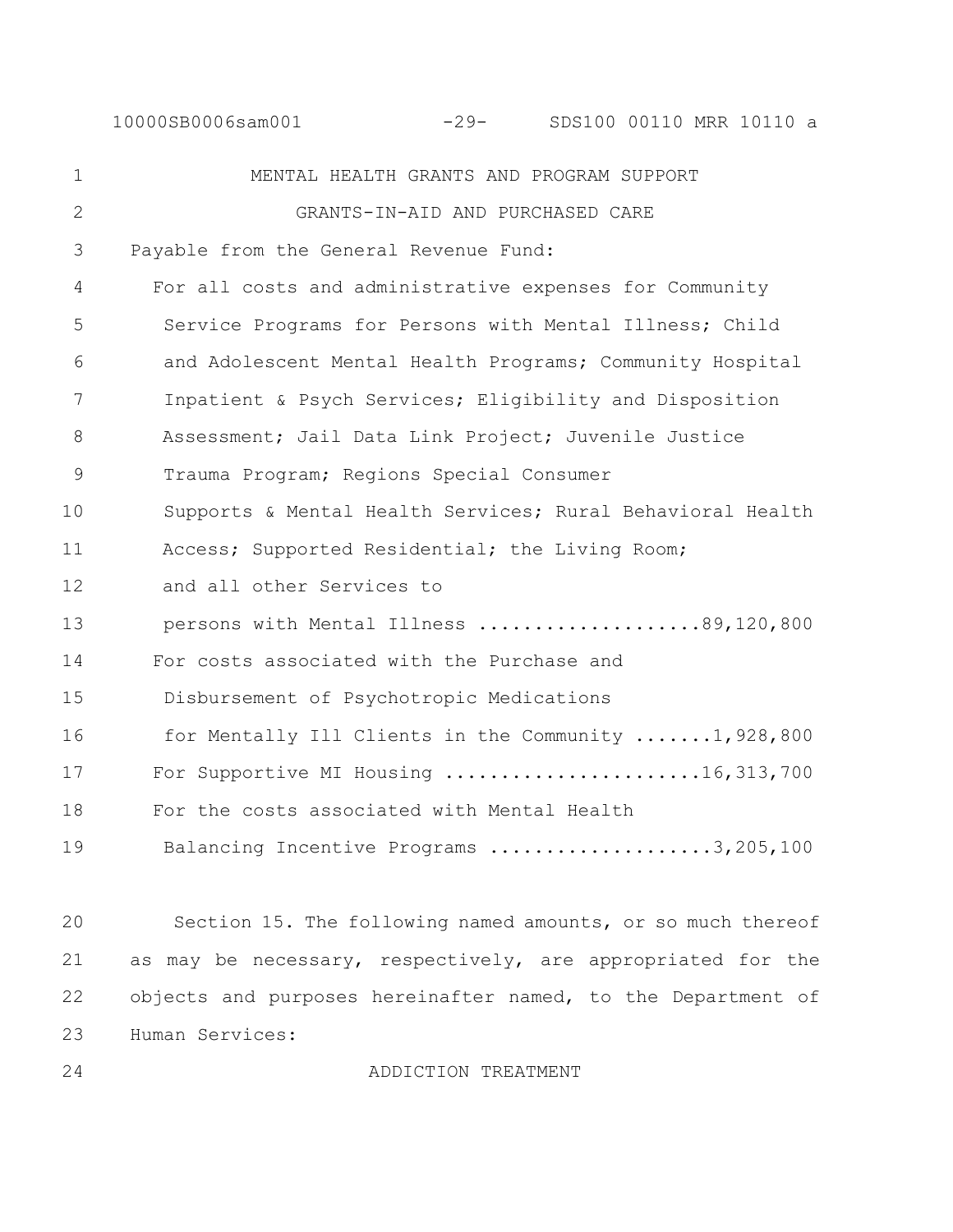10000SB0006sam001 -29- SDS100 00110 MRR 10110 a

1 MENTAL HEALTH GRANTS AND PROGRAM SUPPORT 2 GRANTS-IN-AID AND PURCHASED CARE 3 Payable from the General Revenue Fund: 4 For all costs and administrative expenses for Community 5 Service Programs for Persons with Mental Illness; Child 6 and Adolescent Mental Health Programs; Community Hospital 7 Inpatient & Psych Services; Eligibility and Disposition 8 Assessment; Jail Data Link Project; Juvenile Justice 9 Trauma Program; Regions Special Consumer 10 Supports & Mental Health Services; Rural Behavioral Health 11 Access; Supported Residential; the Living Room; 12 and all other Services to 13 persons with Mental Illness ....................89,120,800 14 For costs associated with the Purchase and 15 Disbursement of Psychotropic Medications 16 for Mentally Ill Clients in the Community .......1,928,800 17 For Supportive MI Housing ........................16,313,700 18 For the costs associated with Mental Health 19 Balancing Incentive Programs .....................3,205,100

 Section 15. The following named amounts, or so much thereof as may be necessary, respectively, are appropriated for the 22 objects and purposes hereinafter named, to the Department of Human Services:

24 ADDICTION TREATMENT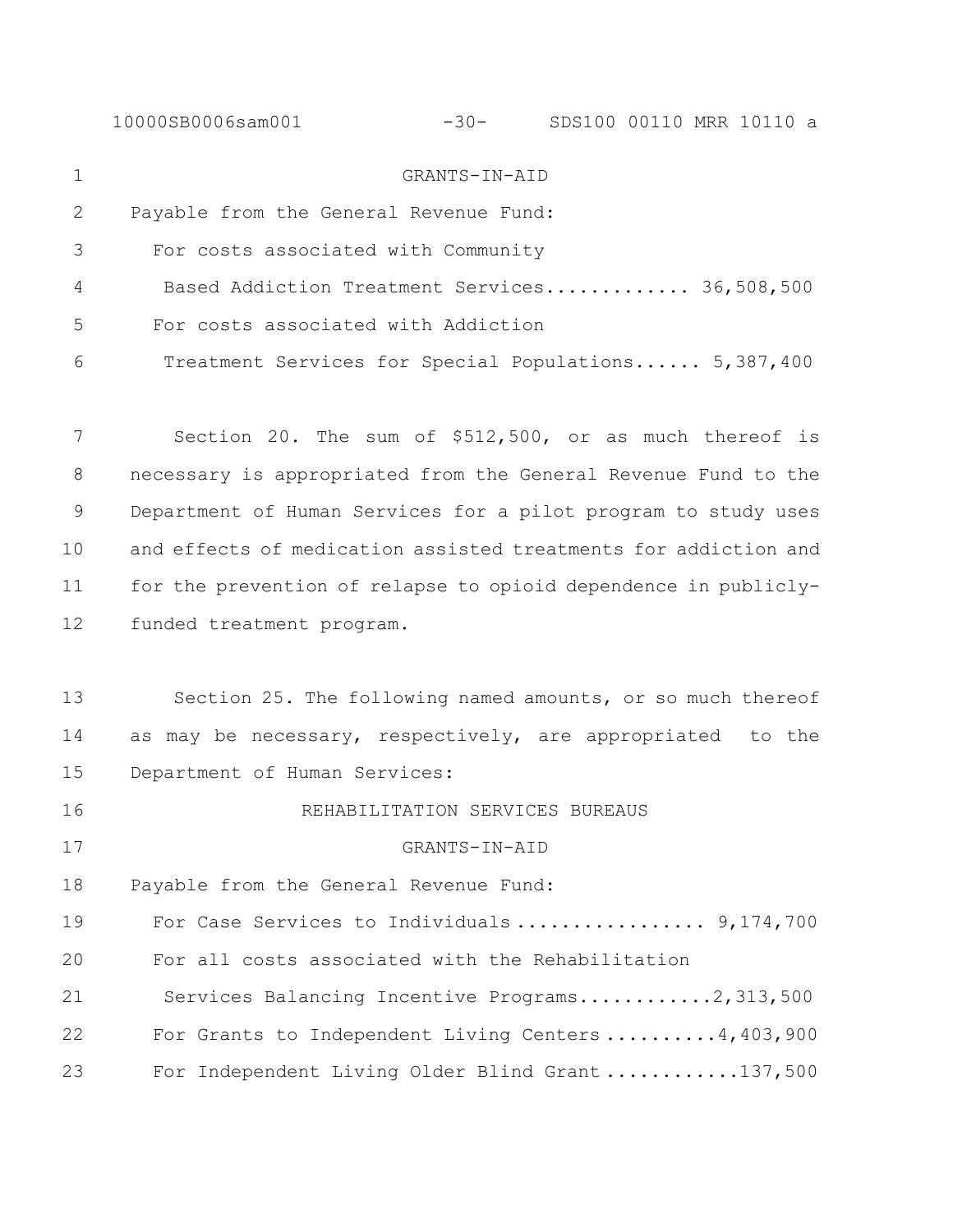| GRANTS-IN-AID                                                   |
|-----------------------------------------------------------------|
| Payable from the General Revenue Fund:                          |
| For costs associated with Community                             |
| Based Addiction Treatment Services 36,508,500                   |
| For costs associated with Addiction                             |
| Treatment Services for Special Populations 5,387,400            |
| Section 20. The sum of \$512,500, or as much thereof is         |
| necessary is appropriated from the General Revenue Fund to the  |
| Department of Human Services for a pilot program to study uses  |
| and effects of medication assisted treatments for addiction and |
| for the prevention of relapse to opioid dependence in publicly- |
| funded treatment program.                                       |
| Section 25. The following named amounts, or so much thereof     |
| as may be necessary, respectively, are appropriated to the      |
| Department of Human Services:                                   |
| REHABILITATION SERVICES BUREAUS                                 |
| GRANTS-IN-AID                                                   |
| Payable from the General Revenue Fund:                          |
| For Case Services to Individuals 9,174,700                      |
| For all costs associated with the Rehabilitation                |
| Services Balancing Incentive Programs2,313,500                  |
| For Grants to Independent Living Centers $4,403,900$            |
| For Independent Living Older Blind Grant 137,500                |
|                                                                 |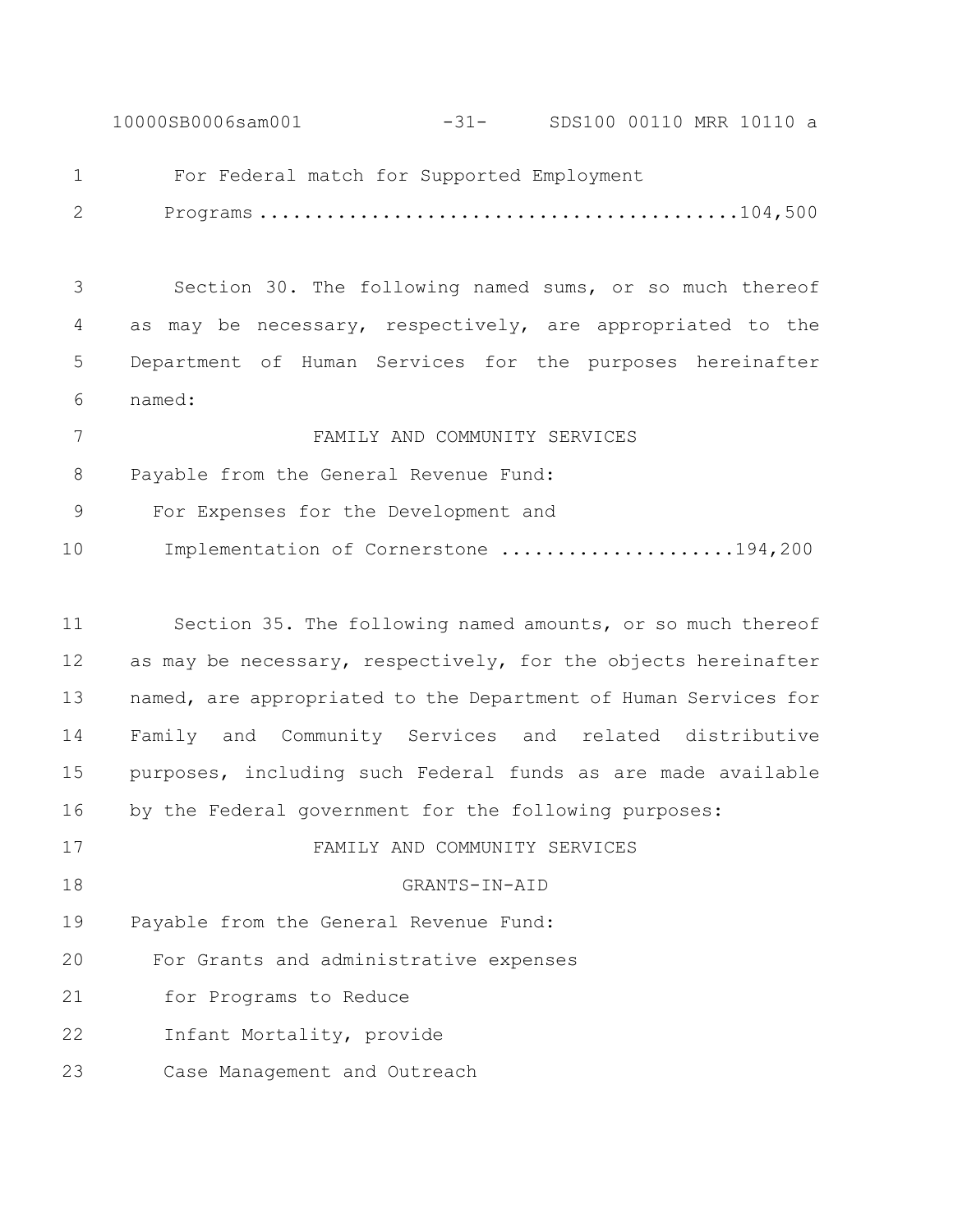10000SB0006sam001 -31- SDS100 00110 MRR 10110 a

For Federal match for Supported Employment

2 Programs ...........................................104,500

 Section 30. The following named sums, or so much thereof as may be necessary, respectively, are appropriated to the Department of Human Services for the purposes hereinafter named:

 FAMILY AND COMMUNITY SERVICES Payable from the General Revenue Fund: 9 For Expenses for the Development and 10 Implementation of Cornerstone .....................194,200

 Section 35. The following named amounts, or so much thereof 12 as may be necessary, respectively, for the objects hereinafter named, are appropriated to the Department of Human Services for Family and Community Services and related distributive purposes, including such Federal funds as are made available by the Federal government for the following purposes: FAMILY AND COMMUNITY SERVICES GRANTS-IN-AID Payable from the General Revenue Fund: 20 For Grants and administrative expenses 21 for Programs to Reduce 22 Infant Mortality, provide 23 Case Management and Outreach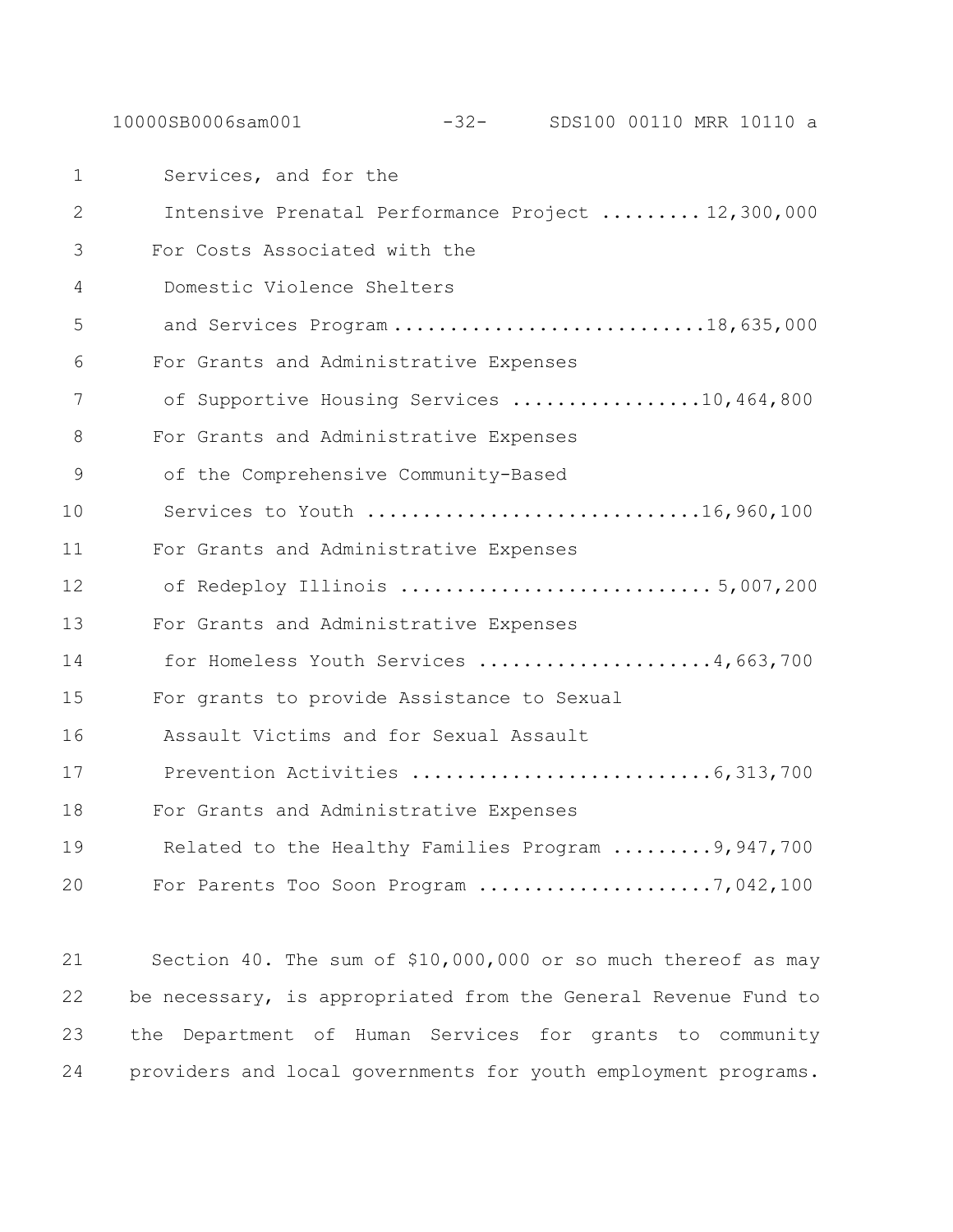10000SB0006sam001 -32- SDS100 00110 MRR 10110 a

1 Services, and for the 2 Intensive Prenatal Performance Project ......... 12,300,000 3 For Costs Associated with the 4 Domestic Violence Shelters 5 and Services Program ..............................18,635,000 6 For Grants and Administrative Expenses 7 of Supportive Housing Services .................10,464,800 8 For Grants and Administrative Expenses 9 of the Comprehensive Community-Based 10 Services to Youth ..............................16,960,100 11 For Grants and Administrative Expenses 12 of Redeploy Illinois ............................ 5,007,200 13 For Grants and Administrative Expenses 14 for Homeless Youth Services .....................4,663,700 15 For grants to provide Assistance to Sexual 16 Assault Victims and for Sexual Assault 17 Prevention Activities ...........................6,313,700 18 For Grants and Administrative Expenses 19 Related to the Healthy Families Program .........9,947,700 20 For Parents Too Soon Program .....................7,042,100

 Section 40. The sum of \$10,000,000 or so much thereof as may be necessary, is appropriated from the General Revenue Fund to the Department of Human Services for grants to community providers and local governments for youth employment programs.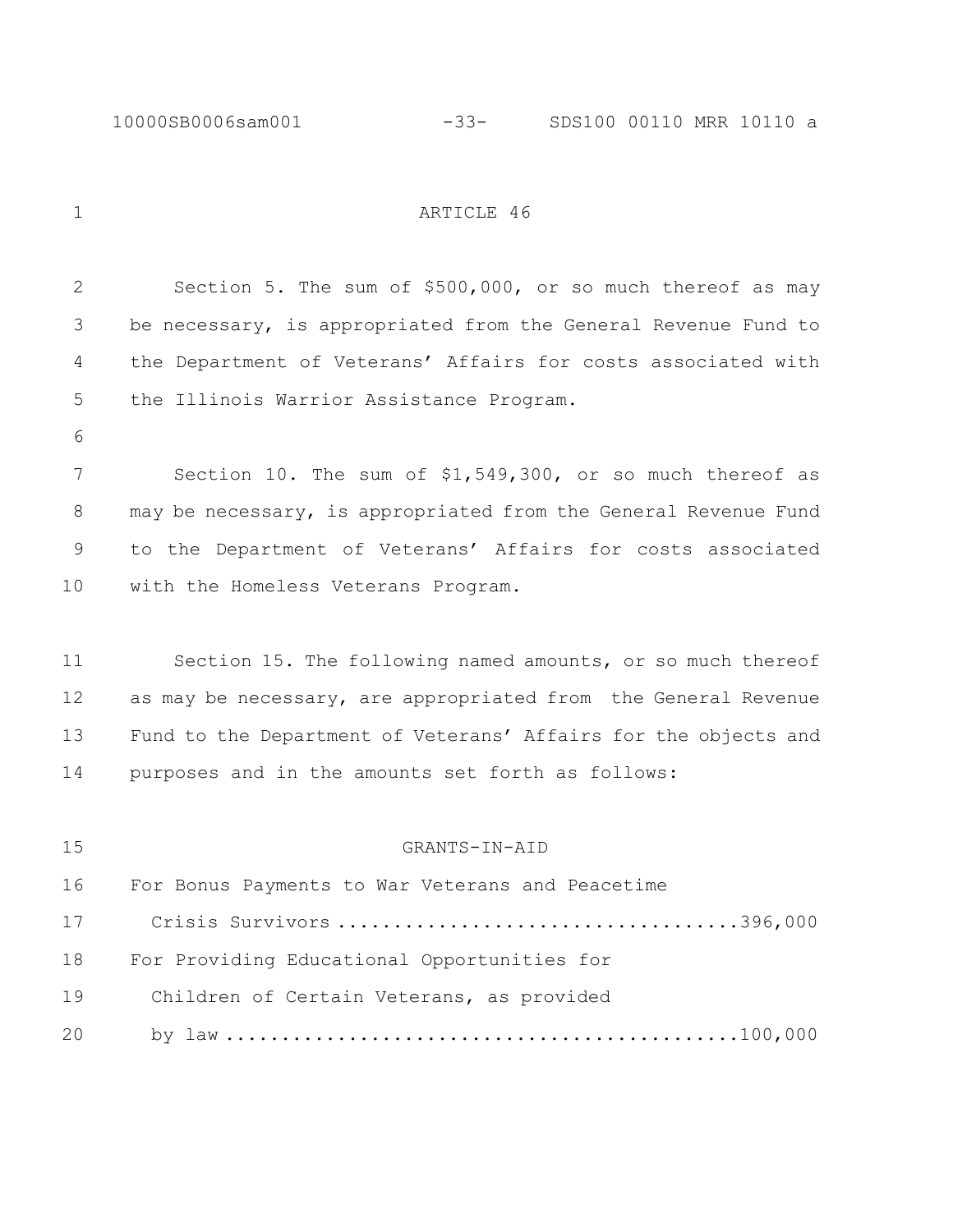1 ARTICLE 46

 Section 5. The sum of \$500,000, or so much thereof as may be necessary, is appropriated from the General Revenue Fund to the Department of Veterans' Affairs for costs associated with the Illinois Warrior Assistance Program. Section 10. The sum of \$1,549,300, or so much thereof as may be necessary, is appropriated from the General Revenue Fund to the Department of Veterans' Affairs for costs associated with the Homeless Veterans Program. Section 15. The following named amounts, or so much thereof as may be necessary, are appropriated from the General Revenue Fund to the Department of Veterans' Affairs for the objects and purposes and in the amounts set forth as follows: GRANTS-IN-AID For Bonus Payments to War Veterans and Peacetime Crisis Survivors ....................................396,000 For Providing Educational Opportunities for Children of Certain Veterans, as provided by law ..............................................100,000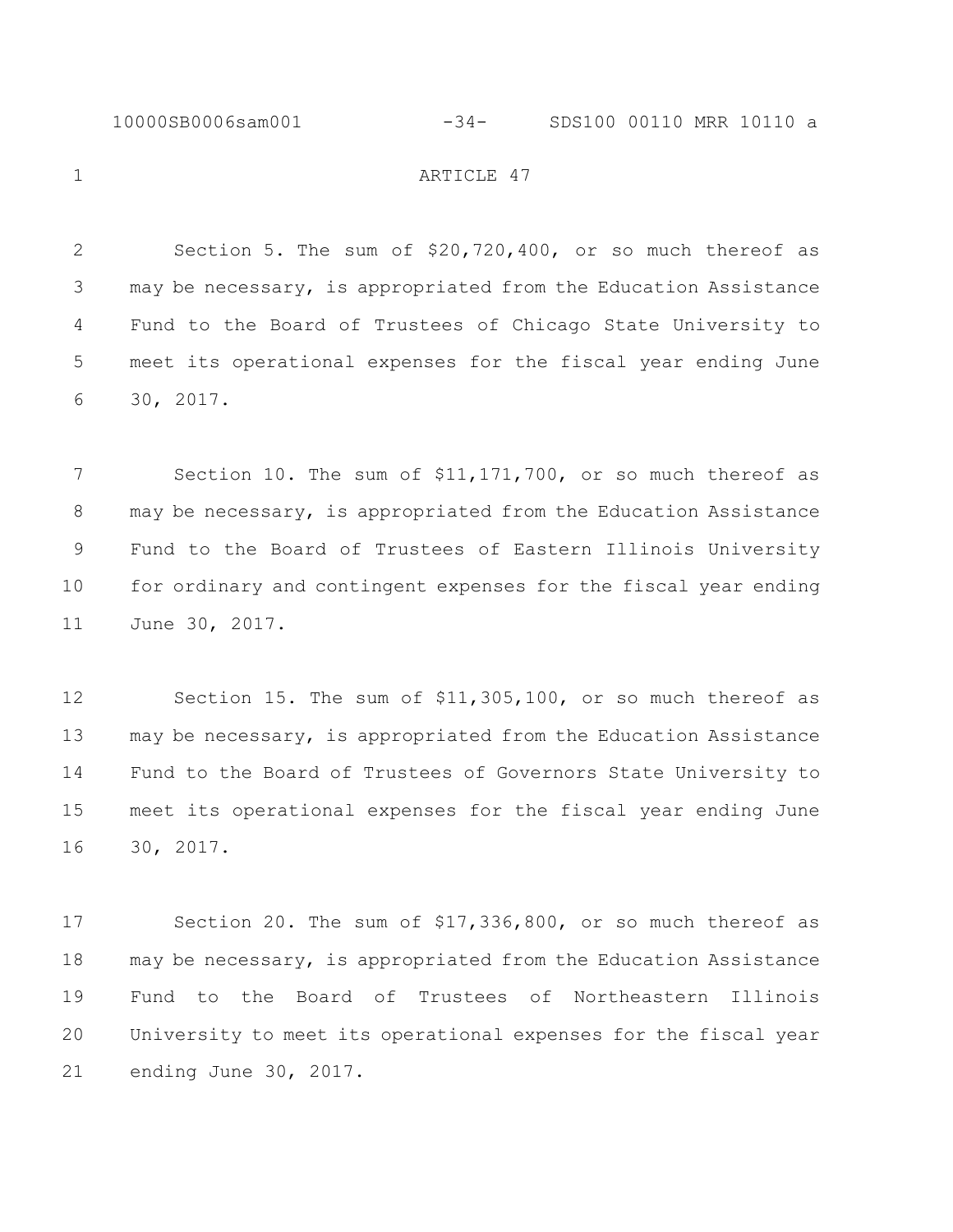#### 10000SB0006sam001 -34- SDS100 00110 MRR 10110 a

1 ARTICLE 47

 Section 5. The sum of \$20,720,400, or so much thereof as may be necessary, is appropriated from the Education Assistance Fund to the Board of Trustees of Chicago State University to meet its operational expenses for the fiscal year ending June 30, 2017.

7 Section 10. The sum of \$11,171,700, or so much thereof as may be necessary, is appropriated from the Education Assistance Fund to the Board of Trustees of Eastern Illinois University for ordinary and contingent expenses for the fiscal year ending June 30, 2017.

 Section 15. The sum of \$11,305,100, or so much thereof as may be necessary, is appropriated from the Education Assistance Fund to the Board of Trustees of Governors State University to meet its operational expenses for the fiscal year ending June 30, 2017.

 Section 20. The sum of \$17,336,800, or so much thereof as may be necessary, is appropriated from the Education Assistance Fund to the Board of Trustees of Northeastern Illinois University to meet its operational expenses for the fiscal year ending June 30, 2017.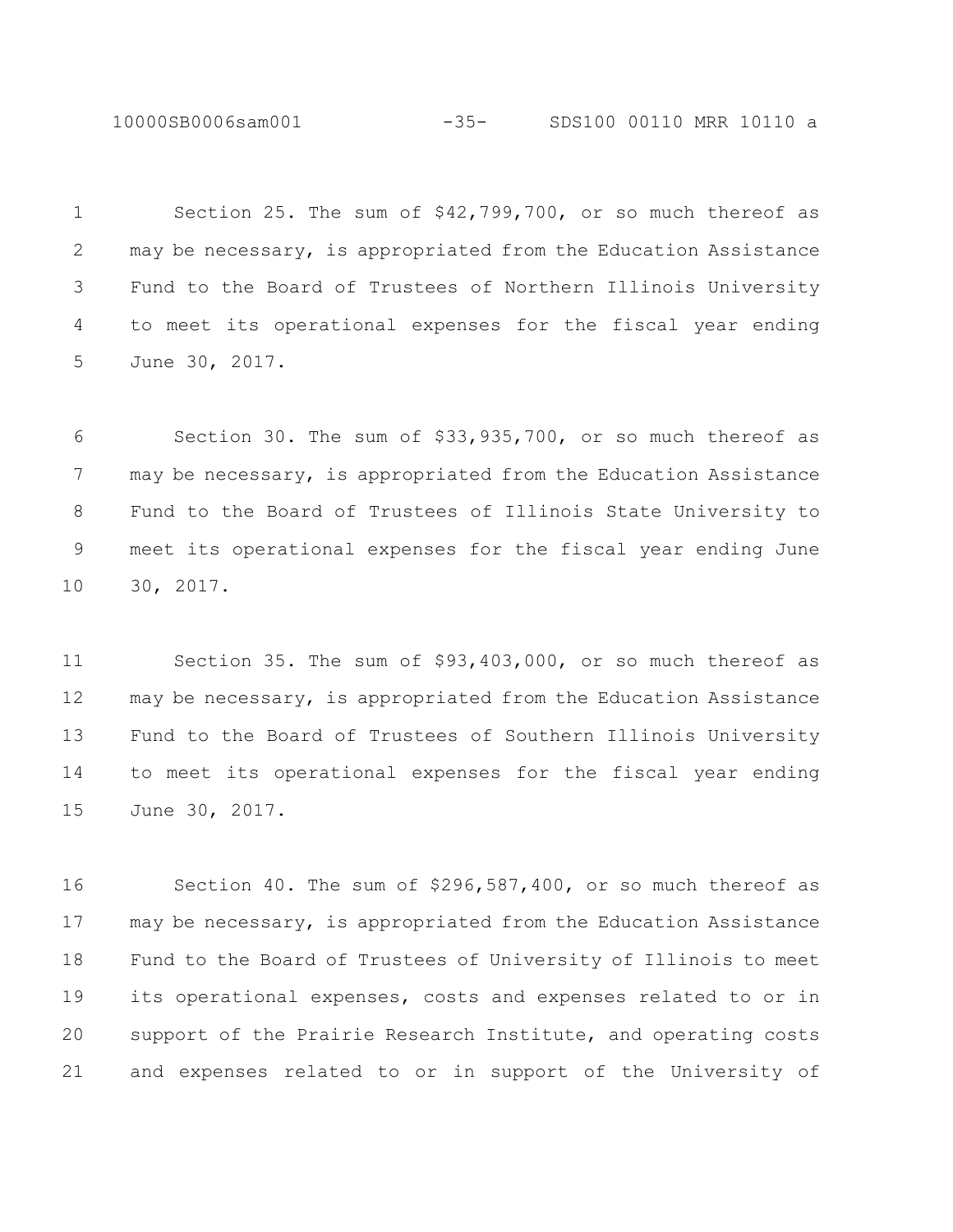10000SB0006sam001 -35- SDS100 00110 MRR 10110 a

 Section 25. The sum of \$42,799,700, or so much thereof as may be necessary, is appropriated from the Education Assistance Fund to the Board of Trustees of Northern Illinois University to meet its operational expenses for the fiscal year ending June 30, 2017.

 Section 30. The sum of \$33,935,700, or so much thereof as may be necessary, is appropriated from the Education Assistance Fund to the Board of Trustees of Illinois State University to meet its operational expenses for the fiscal year ending June 30, 2017.

 Section 35. The sum of \$93,403,000, or so much thereof as may be necessary, is appropriated from the Education Assistance Fund to the Board of Trustees of Southern Illinois University to meet its operational expenses for the fiscal year ending June 30, 2017.

 Section 40. The sum of \$296,587,400, or so much thereof as may be necessary, is appropriated from the Education Assistance Fund to the Board of Trustees of University of Illinois to meet its operational expenses, costs and expenses related to or in support of the Prairie Research Institute, and operating costs and expenses related to or in support of the University of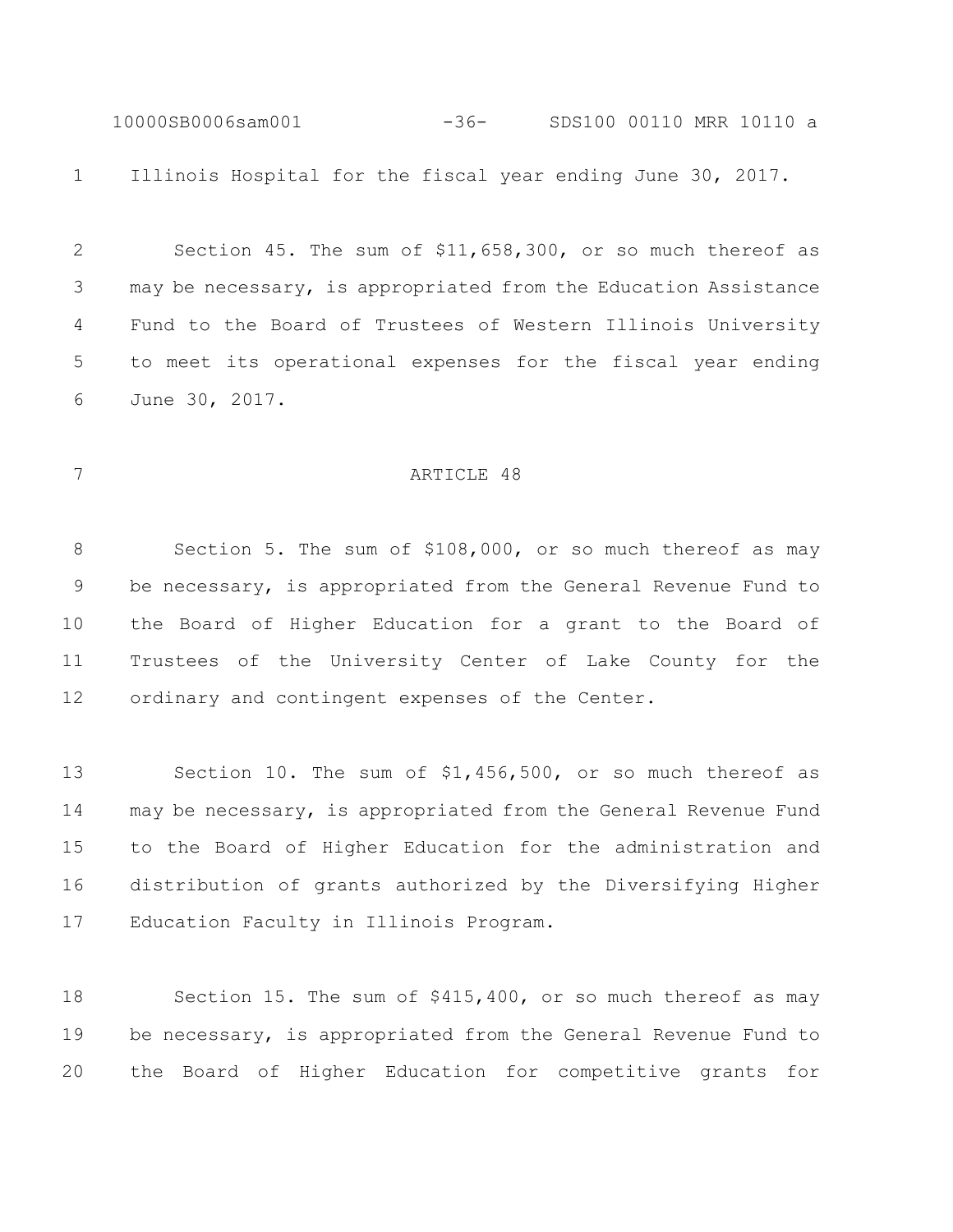10000SB0006sam001 -36- SDS100 00110 MRR 10110 a Illinois Hospital for the fiscal year ending June 30, 2017.

 Section 45. The sum of \$11,658,300, or so much thereof as may be necessary, is appropriated from the Education Assistance Fund to the Board of Trustees of Western Illinois University to meet its operational expenses for the fiscal year ending June 30, 2017.

#### 7 ARTICLE 48

 Section 5. The sum of \$108,000, or so much thereof as may be necessary, is appropriated from the General Revenue Fund to the Board of Higher Education for a grant to the Board of Trustees of the University Center of Lake County for the ordinary and contingent expenses of the Center.

 Section 10. The sum of \$1,456,500, or so much thereof as may be necessary, is appropriated from the General Revenue Fund to the Board of Higher Education for the administration and distribution of grants authorized by the Diversifying Higher Education Faculty in Illinois Program.

 Section 15. The sum of \$415,400, or so much thereof as may be necessary, is appropriated from the General Revenue Fund to the Board of Higher Education for competitive grants for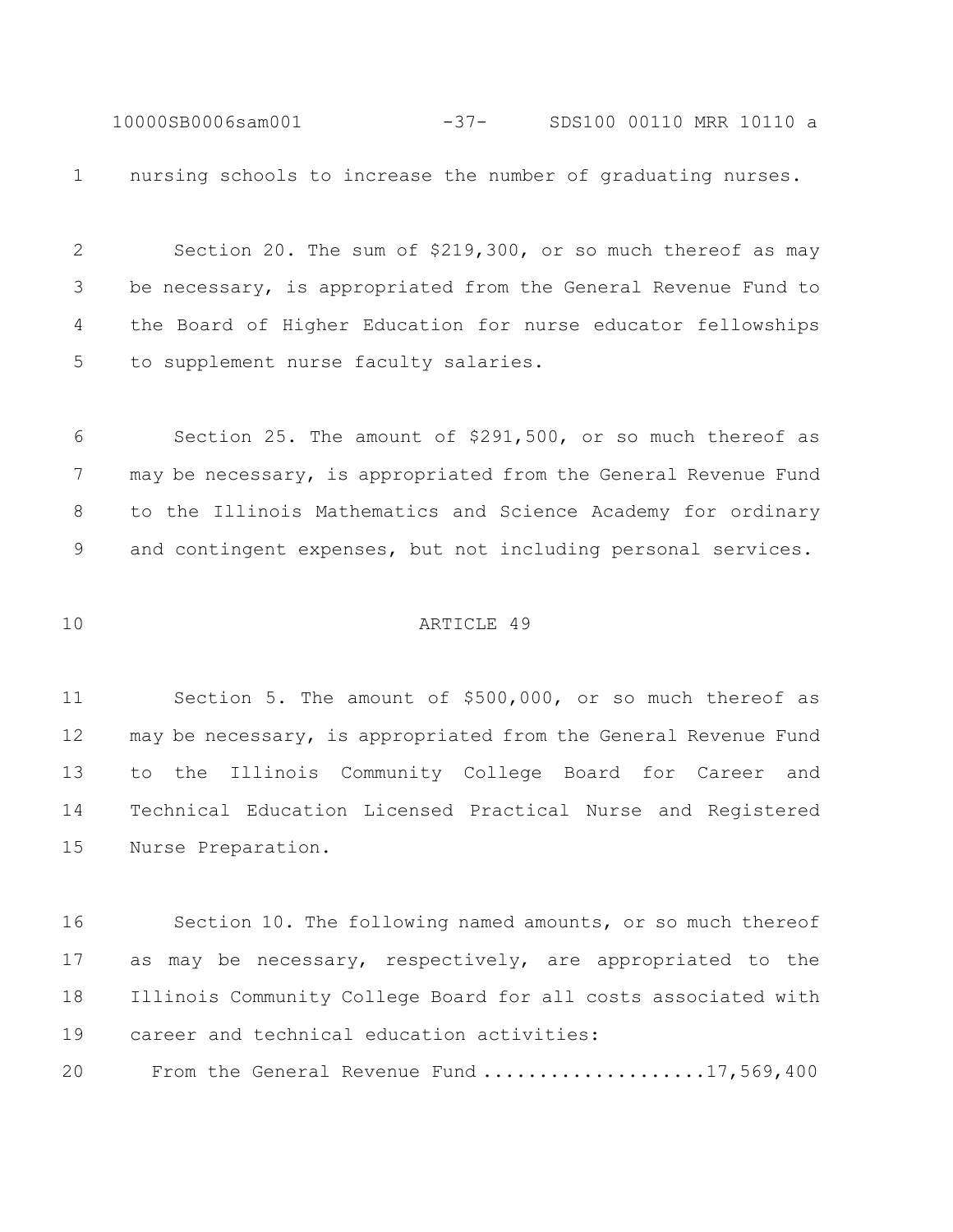10000SB0006sam001 -37- SDS100 00110 MRR 10110 a nursing schools to increase the number of graduating nurses.

 Section 20. The sum of \$219,300, or so much thereof as may be necessary, is appropriated from the General Revenue Fund to the Board of Higher Education for nurse educator fellowships to supplement nurse faculty salaries.

 Section 25. The amount of \$291,500, or so much thereof as 7 may be necessary, is appropriated from the General Revenue Fund to the Illinois Mathematics and Science Academy for ordinary and contingent expenses, but not including personal services.

## ARTICLE 49

 Section 5. The amount of \$500,000, or so much thereof as may be necessary, is appropriated from the General Revenue Fund to the Illinois Community College Board for Career and Technical Education Licensed Practical Nurse and Registered Nurse Preparation.

 Section 10. The following named amounts, or so much thereof as may be necessary, respectively, are appropriated to the Illinois Community College Board for all costs associated with career and technical education activities:

From the General Revenue Fund ....................17,569,400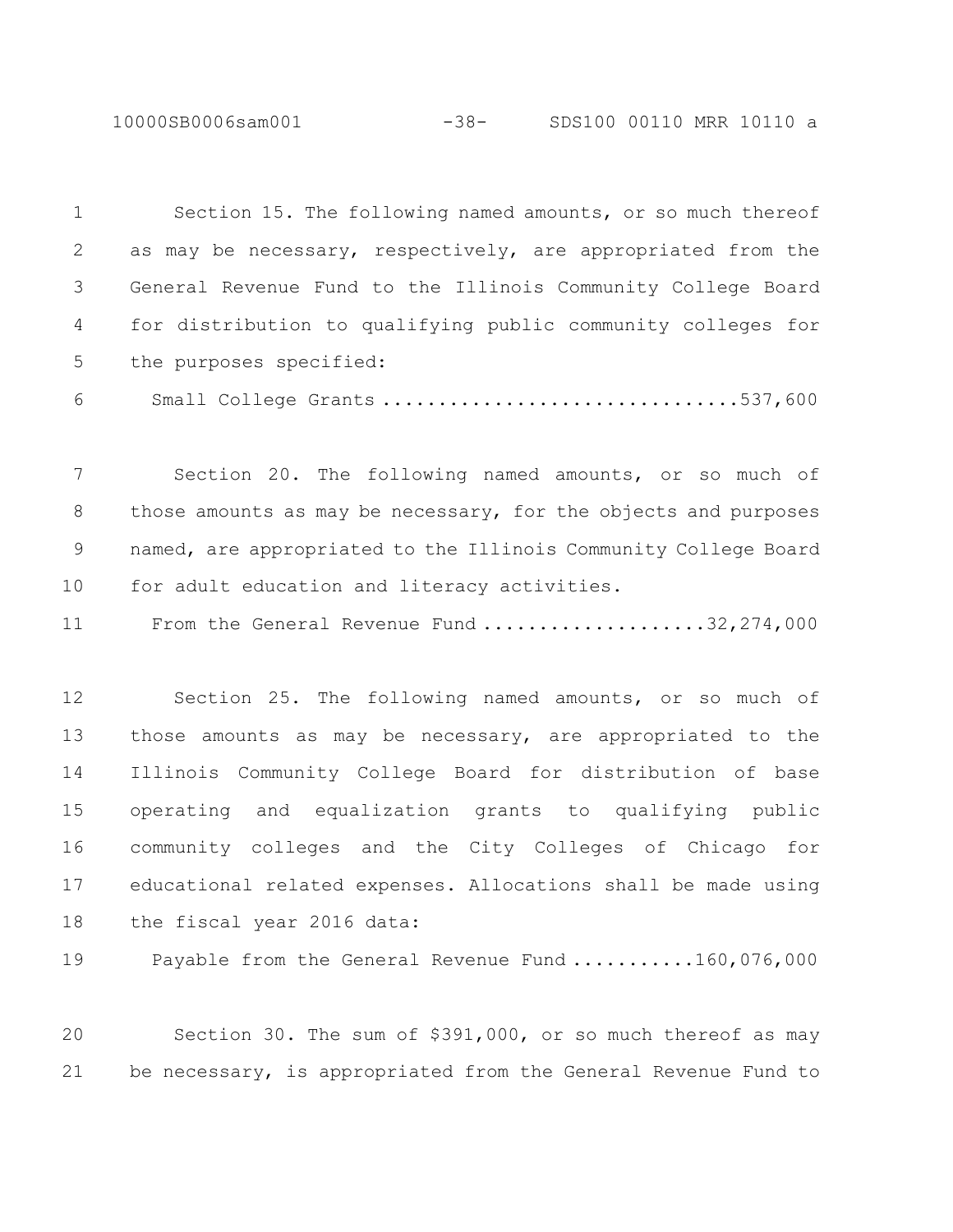10000SB0006sam001 -38- SDS100 00110 MRR 10110 a

 Section 15. The following named amounts, or so much thereof as may be necessary, respectively, are appropriated from the General Revenue Fund to the Illinois Community College Board for distribution to qualifying public community colleges for the purposes specified: Small College Grants ................................537,600 Section 20. The following named amounts, or so much of those amounts as may be necessary, for the objects and purposes

for adult education and literacy activities.

11 From the General Revenue Fund ......................32,274,000

named, are appropriated to the Illinois Community College Board

 Section 25. The following named amounts, or so much of those amounts as may be necessary, are appropriated to the Illinois Community College Board for distribution of base operating and equalization grants to qualifying public community colleges and the City Colleges of Chicago for educational related expenses. Allocations shall be made using the fiscal year 2016 data:

19 Payable from the General Revenue Fund ...........160,076,000

 Section 30. The sum of \$391,000, or so much thereof as may be necessary, is appropriated from the General Revenue Fund to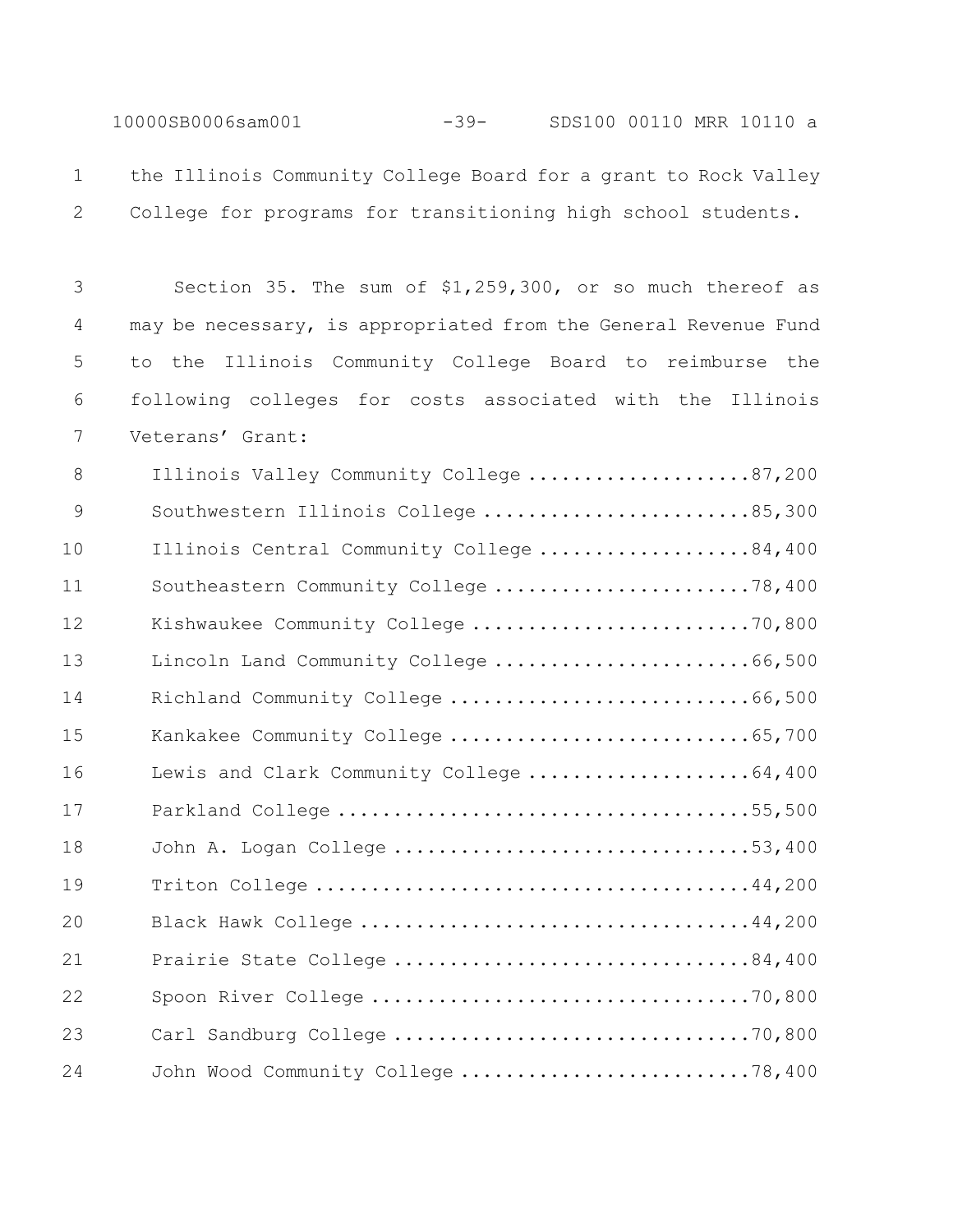10000SB0006sam001 -39- SDS100 00110 MRR 10110 a

 the Illinois Community College Board for a grant to Rock Valley College for programs for transitioning high school students.

 Section 35. The sum of \$1,259,300, or so much thereof as may be necessary, is appropriated from the General Revenue Fund to the Illinois Community College Board to reimburse the following colleges for costs associated with the Illinois Veterans' Grant:

| 8  | Illinois Valley Community College 87,200  |  |
|----|-------------------------------------------|--|
| 9  | Southwestern Illinois College 85,300      |  |
| 10 | Illinois Central Community College 84,400 |  |
| 11 | Southeastern Community College 78,400     |  |
| 12 | Kishwaukee Community College 70,800       |  |
| 13 | Lincoln Land Community College 66,500     |  |
| 14 | Richland Community College 66,500         |  |
| 15 | Kankakee Community College 65,700         |  |
| 16 | Lewis and Clark Community College 64,400  |  |
| 17 |                                           |  |
| 18 | John A. Logan College 53,400              |  |
| 19 |                                           |  |
| 20 |                                           |  |
| 21 | Prairie State College 84,400              |  |
| 22 |                                           |  |
| 23 |                                           |  |
| 24 | John Wood Community College 78,400        |  |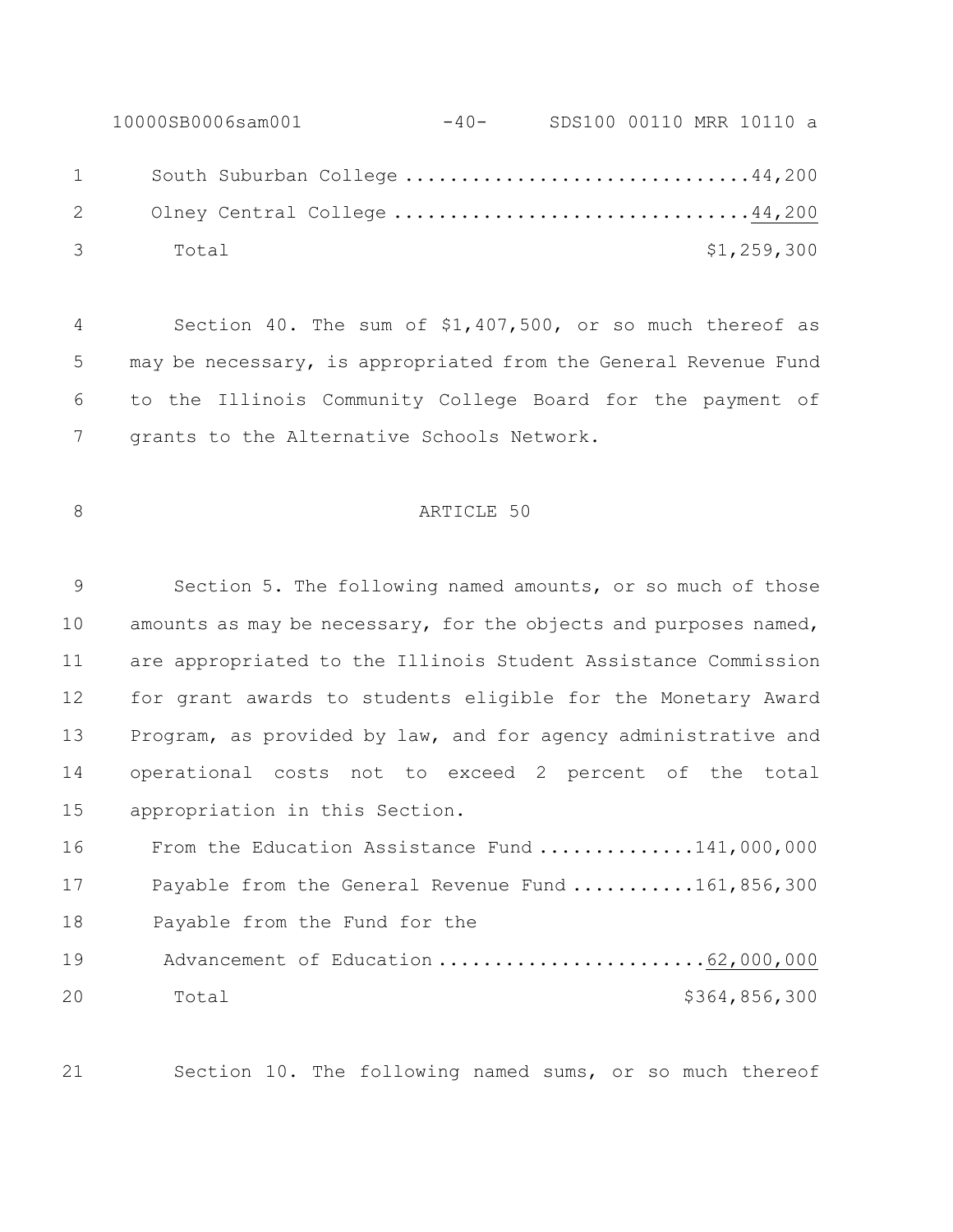10000SB0006sam001 -40- SDS100 00110 MRR 10110 a 1 South Suburban College ...............................44,200 Olney Central College ................................44,200 Total \$1,259,300

 Section 40. The sum of \$1,407,500, or so much thereof as may be necessary, is appropriated from the General Revenue Fund to the Illinois Community College Board for the payment of grants to the Alternative Schools Network.

# 8 ARTICLE 50

 Section 5. The following named amounts, or so much of those 10 amounts as may be necessary, for the objects and purposes named, are appropriated to the Illinois Student Assistance Commission for grant awards to students eligible for the Monetary Award Program, as provided by law, and for agency administrative and operational costs not to exceed 2 percent of the total appropriation in this Section.

16 From the Education Assistance Fund .............141,000,000 17 Payable from the General Revenue Fund ...........161,856,300 18 Payable from the Fund for the 19 Advancement of Education .............................62,000,000 Total \$364,856,300

Section 10. The following named sums, or so much thereof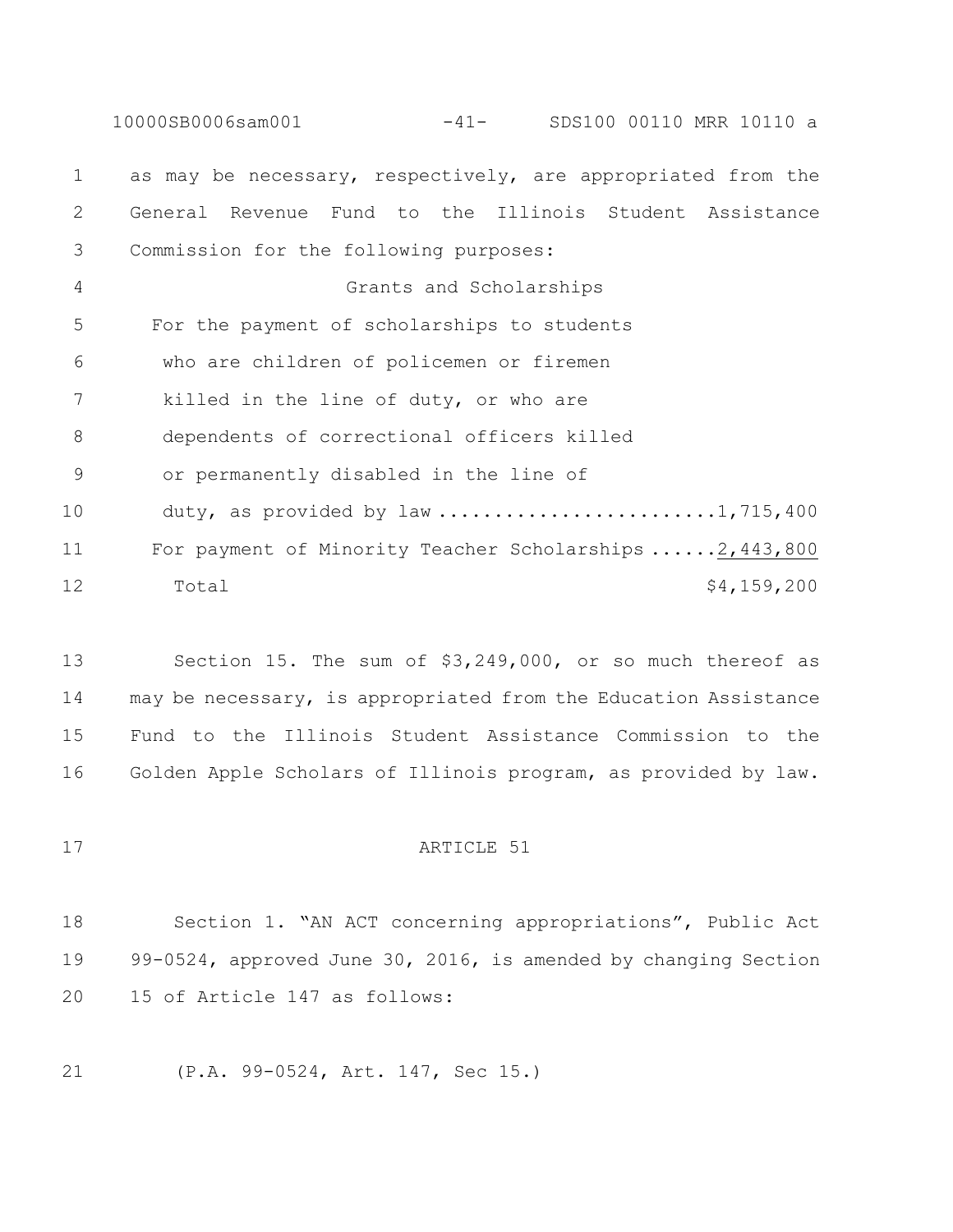10000SB0006sam001 -41- SDS100 00110 MRR 10110 a as may be necessary, respectively, are appropriated from the General Revenue Fund to the Illinois Student Assistance Commission for the following purposes: Grants and Scholarships For the payment of scholarships to students who are children of policemen or firemen killed in the line of duty, or who are dependents of correctional officers killed or permanently disabled in the line of 10 duty, as provided by law ...........................1,715,400 For payment of Minority Teacher Scholarships ......2,443,800 12 Total  $\frac{12}{159,200}$ 

 Section 15. The sum of \$3,249,000, or so much thereof as may be necessary, is appropriated from the Education Assistance Fund to the Illinois Student Assistance Commission to the Golden Apple Scholars of Illinois program, as provided by law.

# 17 ARTICLE 51

 Section 1. "AN ACT concerning appropriations", Public Act 99-0524, approved June 30, 2016, is amended by changing Section 15 of Article 147 as follows:

(P.A. 99-0524, Art. 147, Sec 15.)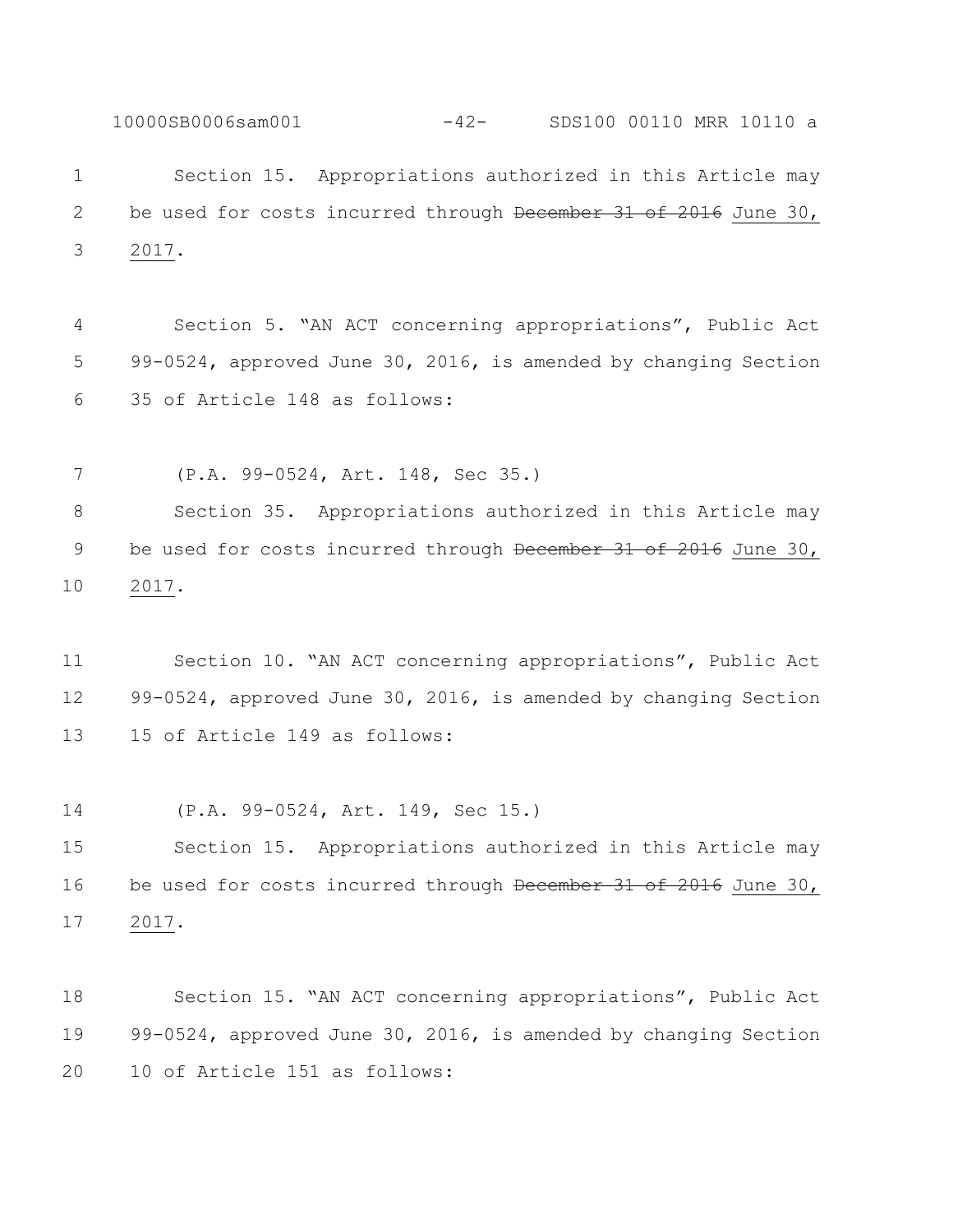Section 15. Appropriations authorized in this Article may 2 be used for costs incurred through December 31 of 2016 June 30, 2017.

10000SB0006sam001 -42- SDS100 00110 MRR 10110 a

 Section 5. "AN ACT concerning appropriations", Public Act 99-0524, approved June 30, 2016, is amended by changing Section 35 of Article 148 as follows:

 (P.A. 99-0524, Art. 148, Sec 35.) Section 35. Appropriations authorized in this Article may 9 be used for costs incurred through December 31 of 2016 June 30, 2017.

 Section 10. "AN ACT concerning appropriations", Public Act 99-0524, approved June 30, 2016, is amended by changing Section 15 of Article 149 as follows:

(P.A. 99-0524, Art. 149, Sec 15.)

 Section 15. Appropriations authorized in this Article may 16 be used for costs incurred through December 31 of 2016 June 30, 2017.

 Section 15. "AN ACT concerning appropriations", Public Act 99-0524, approved June 30, 2016, is amended by changing Section 10 of Article 151 as follows: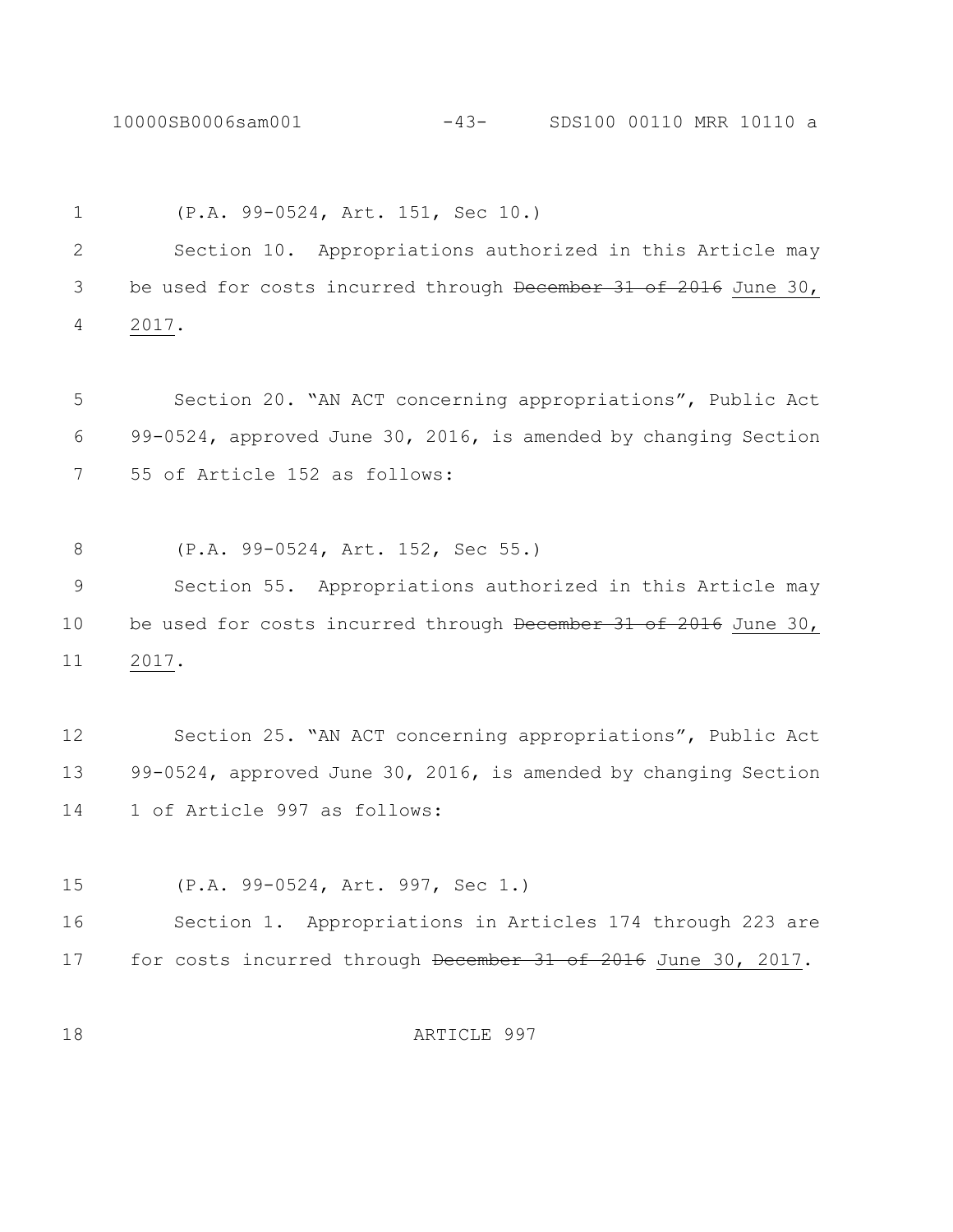10000SB0006sam001 -43- SDS100 00110 MRR 10110 a

 (P.A. 99-0524, Art. 151, Sec 10.) Section 10. Appropriations authorized in this Article may 3 be used for costs incurred through December 31 of 2016 June 30, 2017. Section 20. "AN ACT concerning appropriations", Public Act 99-0524, approved June 30, 2016, is amended by changing Section 55 of Article 152 as follows: (P.A. 99-0524, Art. 152, Sec 55.) Section 55. Appropriations authorized in this Article may 10 be used for costs incurred through December 31 of 2016 June 30, 2017.

 Section 25. "AN ACT concerning appropriations", Public Act 99-0524, approved June 30, 2016, is amended by changing Section 1 of Article 997 as follows:

(P.A. 99-0524, Art. 997, Sec 1.)

 Section 1. Appropriations in Articles 174 through 223 are 17 for costs incurred through December 31 of 2016 June 30, 2017.

ARTICLE 997